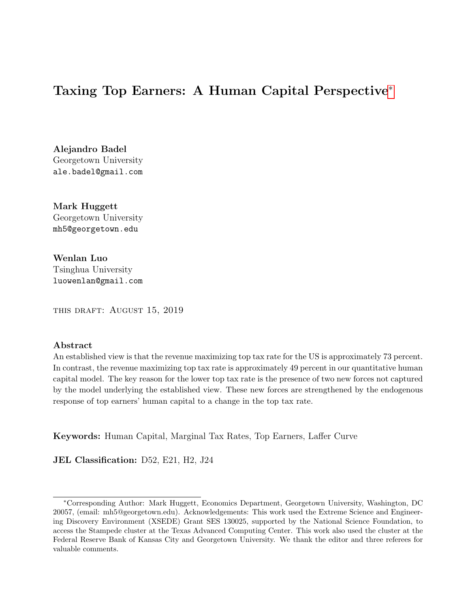# <span id="page-0-0"></span>Taxing Top Earners: A Human Capital Perspective<sup>∗</sup>

Alejandro Badel Georgetown University ale.badel@gmail.com

Mark Huggett Georgetown University mh5@georgetown.edu

Wenlan Luo Tsinghua University luowenlan@gmail.com

this draft: August 15, 2019

#### Abstract

An established view is that the revenue maximizing top tax rate for the US is approximately 73 percent. In contrast, the revenue maximizing top tax rate is approximately 49 percent in our quantitative human capital model. The key reason for the lower top tax rate is the presence of two new forces not captured by the model underlying the established view. These new forces are strengthened by the endogenous response of top earners' human capital to a change in the top tax rate.

Keywords: Human Capital, Marginal Tax Rates, Top Earners, Laffer Curve

JEL Classification: D52, E21, H2, J24

<sup>∗</sup>Corresponding Author: Mark Huggett, Economics Department, Georgetown University, Washington, DC 20057, (email: mh5@georgetown.edu). Acknowledgements: This work used the Extreme Science and Engineering Discovery Environment (XSEDE) Grant SES 130025, supported by the National Science Foundation, to access the Stampede cluster at the Texas Advanced Computing Center. This work also used the cluster at the Federal Reserve Bank of Kansas City and Georgetown University. We thank the editor and three referees for valuable comments.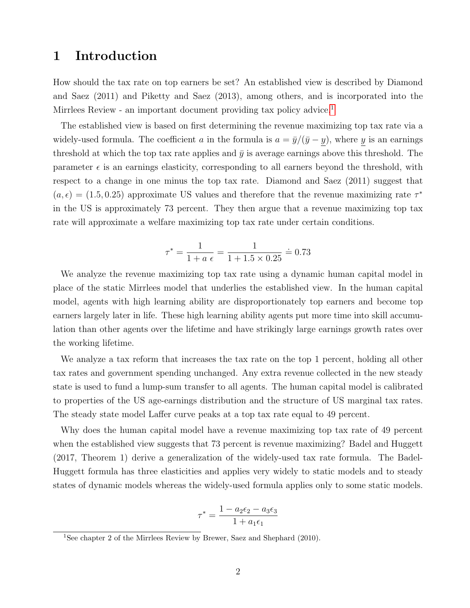# 1 Introduction

How should the tax rate on top earners be set? An established view is described by Diamond and Saez (2011) and Piketty and Saez (2013), among others, and is incorporated into the Mirrlees Review - an important document providing tax policy advice.<sup>[1](#page-0-0)</sup>

The established view is based on first determining the revenue maximizing top tax rate via a widely-used formula. The coefficient a in the formula is  $a = \bar{y}/(\bar{y} - y)$ , where y is an earnings threshold at which the top tax rate applies and  $\bar{y}$  is average earnings above this threshold. The parameter  $\epsilon$  is an earnings elasticity, corresponding to all earners beyond the threshold, with respect to a change in one minus the top tax rate. Diamond and Saez (2011) suggest that  $(a, \epsilon) = (1.5, 0.25)$  approximate US values and therefore that the revenue maximizing rate  $\tau^*$ in the US is approximately 73 percent. They then argue that a revenue maximizing top tax rate will approximate a welfare maximizing top tax rate under certain conditions.

$$
\tau^* = \frac{1}{1 + a \epsilon} = \frac{1}{1 + 1.5 \times 0.25} \doteq 0.73
$$

We analyze the revenue maximizing top tax rate using a dynamic human capital model in place of the static Mirrlees model that underlies the established view. In the human capital model, agents with high learning ability are disproportionately top earners and become top earners largely later in life. These high learning ability agents put more time into skill accumulation than other agents over the lifetime and have strikingly large earnings growth rates over the working lifetime.

We analyze a tax reform that increases the tax rate on the top 1 percent, holding all other tax rates and government spending unchanged. Any extra revenue collected in the new steady state is used to fund a lump-sum transfer to all agents. The human capital model is calibrated to properties of the US age-earnings distribution and the structure of US marginal tax rates. The steady state model Laffer curve peaks at a top tax rate equal to 49 percent.

Why does the human capital model have a revenue maximizing top tax rate of 49 percent when the established view suggests that 73 percent is revenue maximizing? Badel and Huggett (2017, Theorem 1) derive a generalization of the widely-used tax rate formula. The Badel-Huggett formula has three elasticities and applies very widely to static models and to steady states of dynamic models whereas the widely-used formula applies only to some static models.

$$
\tau^* = \frac{1 - a_2 \epsilon_2 - a_3 \epsilon_3}{1 + a_1 \epsilon_1}
$$

<sup>&</sup>lt;sup>1</sup>See chapter 2 of the Mirrlees Review by Brewer, Saez and Shephard (2010).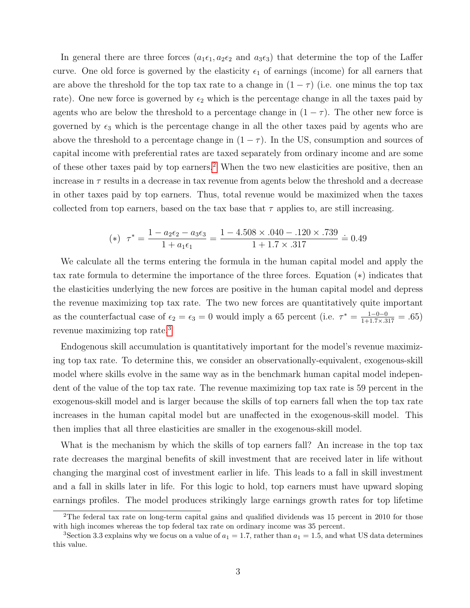In general there are three forces  $(a_1\epsilon_1, a_2\epsilon_2$  and  $a_3\epsilon_3)$  that determine the top of the Laffer curve. One old force is governed by the elasticity  $\epsilon_1$  of earnings (income) for all earners that are above the threshold for the top tax rate to a change in  $(1 - \tau)$  (i.e. one minus the top tax rate). One new force is governed by  $\epsilon_2$  which is the percentage change in all the taxes paid by agents who are below the threshold to a percentage change in  $(1 - \tau)$ . The other new force is governed by  $\epsilon_3$  which is the percentage change in all the other taxes paid by agents who are above the threshold to a percentage change in  $(1 - \tau)$ . In the US, consumption and sources of capital income with preferential rates are taxed separately from ordinary income and are some of these other taxes paid by top earners.<sup>[2](#page-0-0)</sup> When the two new elasticities are positive, then an increase in  $\tau$  results in a decrease in tax revenue from agents below the threshold and a decrease in other taxes paid by top earners. Thus, total revenue would be maximized when the taxes collected from top earners, based on the tax base that  $\tau$  applies to, are still increasing.

(\*) 
$$
\tau^* = \frac{1 - a_2 \epsilon_2 - a_3 \epsilon_3}{1 + a_1 \epsilon_1} = \frac{1 - 4.508 \times .040 - .120 \times .739}{1 + 1.7 \times .317} = 0.49
$$

We calculate all the terms entering the formula in the human capital model and apply the tax rate formula to determine the importance of the three forces. Equation (∗) indicates that the elasticities underlying the new forces are positive in the human capital model and depress the revenue maximizing top tax rate. The two new forces are quantitatively quite important as the counterfactual case of  $\epsilon_2 = \epsilon_3 = 0$  would imply a 65 percent (i.e.  $\tau^* = \frac{1-0-0}{1+1.7 \times .317} = .65$ ) revenue maximizing top rate.[3](#page-0-0)

Endogenous skill accumulation is quantitatively important for the model's revenue maximizing top tax rate. To determine this, we consider an observationally-equivalent, exogenous-skill model where skills evolve in the same way as in the benchmark human capital model independent of the value of the top tax rate. The revenue maximizing top tax rate is 59 percent in the exogenous-skill model and is larger because the skills of top earners fall when the top tax rate increases in the human capital model but are unaffected in the exogenous-skill model. This then implies that all three elasticities are smaller in the exogenous-skill model.

What is the mechanism by which the skills of top earners fall? An increase in the top tax rate decreases the marginal benefits of skill investment that are received later in life without changing the marginal cost of investment earlier in life. This leads to a fall in skill investment and a fall in skills later in life. For this logic to hold, top earners must have upward sloping earnings profiles. The model produces strikingly large earnings growth rates for top lifetime

<sup>&</sup>lt;sup>2</sup>The federal tax rate on long-term capital gains and qualified dividends was 15 percent in 2010 for those with high incomes whereas the top federal tax rate on ordinary income was 35 percent.

<sup>&</sup>lt;sup>3</sup>Section 3.3 explains why we focus on a value of  $a_1 = 1.7$ , rather than  $a_1 = 1.5$ , and what US data determines this value.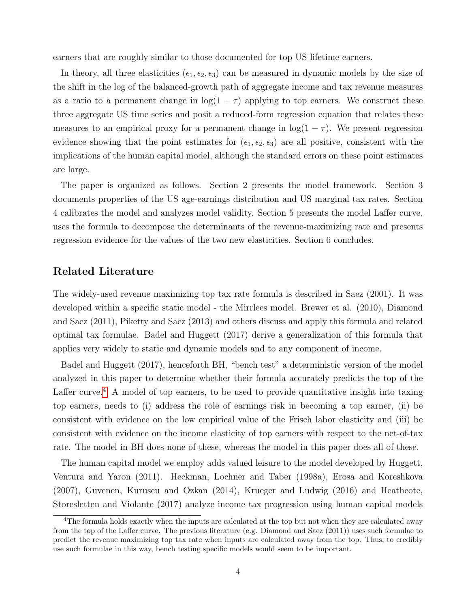earners that are roughly similar to those documented for top US lifetime earners.

In theory, all three elasticities  $(\epsilon_1, \epsilon_2, \epsilon_3)$  can be measured in dynamic models by the size of the shift in the log of the balanced-growth path of aggregate income and tax revenue measures as a ratio to a permanent change in  $log(1 - \tau)$  applying to top earners. We construct these three aggregate US time series and posit a reduced-form regression equation that relates these measures to an empirical proxy for a permanent change in  $log(1 - \tau)$ . We present regression evidence showing that the point estimates for  $(\epsilon_1, \epsilon_2, \epsilon_3)$  are all positive, consistent with the implications of the human capital model, although the standard errors on these point estimates are large.

The paper is organized as follows. Section 2 presents the model framework. Section 3 documents properties of the US age-earnings distribution and US marginal tax rates. Section 4 calibrates the model and analyzes model validity. Section 5 presents the model Laffer curve, uses the formula to decompose the determinants of the revenue-maximizing rate and presents regression evidence for the values of the two new elasticities. Section 6 concludes.

### Related Literature

The widely-used revenue maximizing top tax rate formula is described in Saez (2001). It was developed within a specific static model - the Mirrlees model. Brewer et al.  $(2010)$ , Diamond and Saez (2011), Piketty and Saez (2013) and others discuss and apply this formula and related optimal tax formulae. Badel and Huggett (2017) derive a generalization of this formula that applies very widely to static and dynamic models and to any component of income.

Badel and Huggett (2017), henceforth BH, "bench test" a deterministic version of the model analyzed in this paper to determine whether their formula accurately predicts the top of the Laffer curve.<sup>[4](#page-0-0)</sup> A model of top earners, to be used to provide quantitative insight into taxing top earners, needs to (i) address the role of earnings risk in becoming a top earner, (ii) be consistent with evidence on the low empirical value of the Frisch labor elasticity and (iii) be consistent with evidence on the income elasticity of top earners with respect to the net-of-tax rate. The model in BH does none of these, whereas the model in this paper does all of these.

The human capital model we employ adds valued leisure to the model developed by Huggett, Ventura and Yaron (2011). Heckman, Lochner and Taber (1998a), Erosa and Koreshkova (2007), Guvenen, Kuruscu and Ozkan (2014), Krueger and Ludwig (2016) and Heathcote, Storesletten and Violante (2017) analyze income tax progression using human capital models

<sup>&</sup>lt;sup>4</sup>The formula holds exactly when the inputs are calculated at the top but not when they are calculated away from the top of the Laffer curve. The previous literature (e.g. Diamond and Saez (2011)) uses such formulae to predict the revenue maximizing top tax rate when inputs are calculated away from the top. Thus, to credibly use such formulae in this way, bench testing specific models would seem to be important.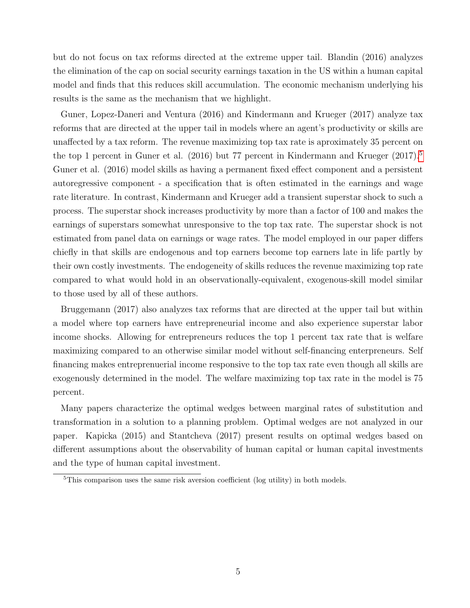but do not focus on tax reforms directed at the extreme upper tail. Blandin (2016) analyzes the elimination of the cap on social security earnings taxation in the US within a human capital model and finds that this reduces skill accumulation. The economic mechanism underlying his results is the same as the mechanism that we highlight.

Guner, Lopez-Daneri and Ventura (2016) and Kindermann and Krueger (2017) analyze tax reforms that are directed at the upper tail in models where an agent's productivity or skills are unaffected by a tax reform. The revenue maximizing top tax rate is aproximately 35 percent on the top 1 percent in Guner et al.  $(2016)$  but 77 percent in Kindermann and Krueger  $(2017).$ <sup>[5](#page-0-0)</sup> Guner et al. (2016) model skills as having a permanent fixed effect component and a persistent autoregressive component - a specification that is often estimated in the earnings and wage rate literature. In contrast, Kindermann and Krueger add a transient superstar shock to such a process. The superstar shock increases productivity by more than a factor of 100 and makes the earnings of superstars somewhat unresponsive to the top tax rate. The superstar shock is not estimated from panel data on earnings or wage rates. The model employed in our paper differs chiefly in that skills are endogenous and top earners become top earners late in life partly by their own costly investments. The endogeneity of skills reduces the revenue maximizing top rate compared to what would hold in an observationally-equivalent, exogenous-skill model similar to those used by all of these authors.

Bruggemann (2017) also analyzes tax reforms that are directed at the upper tail but within a model where top earners have entrepreneurial income and also experience superstar labor income shocks. Allowing for entrepreneurs reduces the top 1 percent tax rate that is welfare maximizing compared to an otherwise similar model without self-financing enterpreneurs. Self financing makes entreprenuerial income responsive to the top tax rate even though all skills are exogenously determined in the model. The welfare maximizing top tax rate in the model is 75 percent.

Many papers characterize the optimal wedges between marginal rates of substitution and transformation in a solution to a planning problem. Optimal wedges are not analyzed in our paper. Kapicka (2015) and Stantcheva (2017) present results on optimal wedges based on different assumptions about the observability of human capital or human capital investments and the type of human capital investment.

<sup>&</sup>lt;sup>5</sup>This comparison uses the same risk aversion coefficient (log utility) in both models.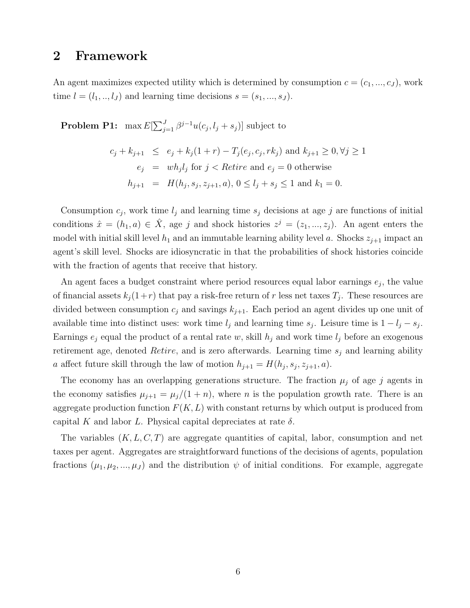# 2 Framework

An agent maximizes expected utility which is determined by consumption  $c = (c_1, ..., c_J)$ , work time  $l = (l_1, ..., l_J)$  and learning time decisions  $s = (s_1, ..., s_J)$ .

**Problem P1:** max  $E[\sum_{j=1}^{J} \beta^{j-1} u(c_j, l_j + s_j)]$  subject to

$$
c_j + k_{j+1} \le e_j + k_j(1+r) - T_j(e_j, c_j, rk_j) \text{ and } k_{j+1} \ge 0, \forall j \ge 1
$$
  

$$
e_j = wh_j l_j \text{ for } j < \text{Retire and } e_j = 0 \text{ otherwise}
$$
  

$$
h_{j+1} = H(h_j, s_j, z_{j+1}, a), 0 \le l_j + s_j \le 1 \text{ and } k_1 = 0.
$$

Consumption  $c_j$ , work time  $l_j$  and learning time  $s_j$  decisions at age j are functions of initial conditions  $\hat{x} = (h_1, a) \in \hat{X}$ , age j and shock histories  $z^j = (z_1, ..., z_j)$ . An agent enters the model with initial skill level  $h_1$  and an immutable learning ability level a. Shocks  $z_{j+1}$  impact an agent's skill level. Shocks are idiosyncratic in that the probabilities of shock histories coincide with the fraction of agents that receive that history.

An agent faces a budget constraint where period resources equal labor earnings  $e_j$ , the value of financial assets  $k_j(1+r)$  that pay a risk-free return of r less net taxes  $T_j$ . These resources are divided between consumption  $c_j$  and savings  $k_{j+1}$ . Each period an agent divides up one unit of available time into distinct uses: work time  $l_j$  and learning time  $s_j$ . Leisure time is  $1 - l_j - s_j$ . Earnings  $e_j$  equal the product of a rental rate w, skill  $h_j$  and work time  $l_j$  before an exogenous retirement age, denoted *Retire*, and is zero afterwards. Learning time  $s_i$  and learning ability a affect future skill through the law of motion  $h_{j+1} = H(h_j, s_j, z_{j+1}, a)$ .

The economy has an overlapping generations structure. The fraction  $\mu_j$  of age j agents in the economy satisfies  $\mu_{j+1} = \mu_j/(1+n)$ , where *n* is the population growth rate. There is an aggregate production function  $F(K, L)$  with constant returns by which output is produced from capital K and labor L. Physical capital depreciates at rate  $\delta$ .

The variables  $(K, L, C, T)$  are aggregate quantities of capital, labor, consumption and net taxes per agent. Aggregates are straightforward functions of the decisions of agents, population fractions  $(\mu_1, \mu_2, ..., \mu_J)$  and the distribution  $\psi$  of initial conditions. For example, aggregate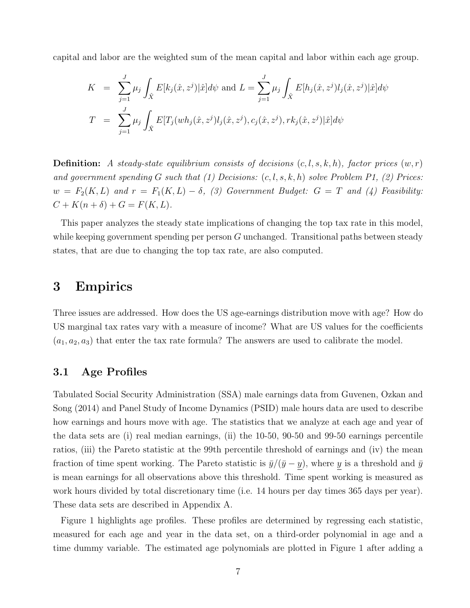capital and labor are the weighted sum of the mean capital and labor within each age group.

$$
K = \sum_{j=1}^{J} \mu_j \int_{\hat{X}} E[k_j(\hat{x}, z^j) | \hat{x}] d\psi \text{ and } L = \sum_{j=1}^{J} \mu_j \int_{\hat{X}} E[h_j(\hat{x}, z^j) l_j(\hat{x}, z^j) | \hat{x}] d\psi
$$
  

$$
T = \sum_{j=1}^{J} \mu_j \int_{\hat{X}} E[T_j(wh_j(\hat{x}, z^j) l_j(\hat{x}, z^j), c_j(\hat{x}, z^j), rk_j(\hat{x}, z^j) | \hat{x}] d\psi
$$

**Definition:** A steady-state equilibrium consists of decisions  $(c, l, s, k, h)$ , factor prices  $(w, r)$ and government spending G such that (1) Decisions:  $(c, l, s, k, h)$  solve Problem P1, (2) Prices:  $w = F_2(K, L)$  and  $r = F_1(K, L) - \delta$ , (3) Government Budget:  $G = T$  and (4) Feasibility:  $C + K(n + \delta) + G = F(K, L).$ 

This paper analyzes the steady state implications of changing the top tax rate in this model, while keeping government spending per person G unchanged. Transitional paths between steady states, that are due to changing the top tax rate, are also computed.

# 3 Empirics

Three issues are addressed. How does the US age-earnings distribution move with age? How do US marginal tax rates vary with a measure of income? What are US values for the coefficients  $(a_1, a_2, a_3)$  that enter the tax rate formula? The answers are used to calibrate the model.

# 3.1 Age Profiles

Tabulated Social Security Administration (SSA) male earnings data from Guvenen, Ozkan and Song (2014) and Panel Study of Income Dynamics (PSID) male hours data are used to describe how earnings and hours move with age. The statistics that we analyze at each age and year of the data sets are (i) real median earnings, (ii) the 10-50, 90-50 and 99-50 earnings percentile ratios, (iii) the Pareto statistic at the 99th percentile threshold of earnings and (iv) the mean fraction of time spent working. The Pareto statistic is  $\bar{y}/(\bar{y}-y)$ , where y is a threshold and  $\bar{y}$ is mean earnings for all observations above this threshold. Time spent working is measured as work hours divided by total discretionary time (i.e. 14 hours per day times 365 days per year). These data sets are described in Appendix A.

Figure 1 highlights age profiles. These profiles are determined by regressing each statistic, measured for each age and year in the data set, on a third-order polynomial in age and a time dummy variable. The estimated age polynomials are plotted in Figure 1 after adding a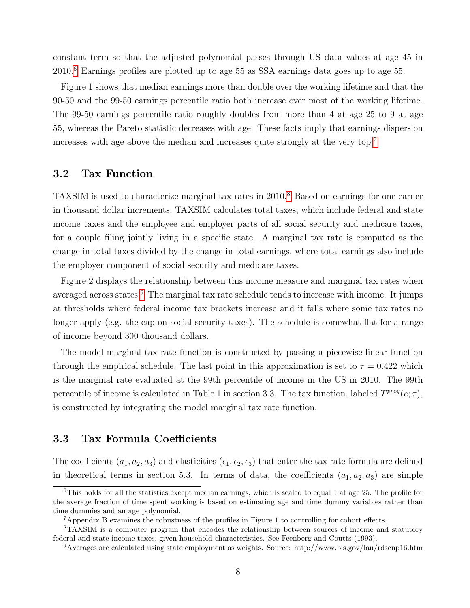constant term so that the adjusted polynomial passes through US data values at age 45 in 2010.[6](#page-0-0) Earnings profiles are plotted up to age 55 as SSA earnings data goes up to age 55.

Figure 1 shows that median earnings more than double over the working lifetime and that the 90-50 and the 99-50 earnings percentile ratio both increase over most of the working lifetime. The 99-50 earnings percentile ratio roughly doubles from more than 4 at age 25 to 9 at age 55, whereas the Pareto statistic decreases with age. These facts imply that earnings dispersion increases with age above the median and increases quite strongly at the very top.[7](#page-0-0)

### 3.2 Tax Function

TAXSIM is used to characterize marginal tax rates in 2010.<sup>[8](#page-0-0)</sup> Based on earnings for one earner in thousand dollar increments, TAXSIM calculates total taxes, which include federal and state income taxes and the employee and employer parts of all social security and medicare taxes, for a couple filing jointly living in a specific state. A marginal tax rate is computed as the change in total taxes divided by the change in total earnings, where total earnings also include the employer component of social security and medicare taxes.

Figure 2 displays the relationship between this income measure and marginal tax rates when averaged across states.<sup>[9](#page-0-0)</sup> The marginal tax rate schedule tends to increase with income. It jumps at thresholds where federal income tax brackets increase and it falls where some tax rates no longer apply (e.g. the cap on social security taxes). The schedule is somewhat flat for a range of income beyond 300 thousand dollars.

The model marginal tax rate function is constructed by passing a piecewise-linear function through the empirical schedule. The last point in this approximation is set to  $\tau = 0.422$  which is the marginal rate evaluated at the 99th percentile of income in the US in 2010. The 99th percentile of income is calculated in Table 1 in section 3.3. The tax function, labeled  $T^{prog}(e; \tau)$ , is constructed by integrating the model marginal tax rate function.

# 3.3 Tax Formula Coefficients

The coefficients  $(a_1, a_2, a_3)$  and elasticities  $(\epsilon_1, \epsilon_2, \epsilon_3)$  that enter the tax rate formula are defined in theoretical terms in section 5.3. In terms of data, the coefficients  $(a_1, a_2, a_3)$  are simple

<sup>6</sup>This holds for all the statistics except median earnings, which is scaled to equal 1 at age 25. The profile for the average fraction of time spent working is based on estimating age and time dummy variables rather than time dummies and an age polynomial.

<sup>7</sup>Appendix B examines the robustness of the profiles in Figure 1 to controlling for cohort effects.

<sup>8</sup>TAXSIM is a computer program that encodes the relationship between sources of income and statutory federal and state income taxes, given household characteristics. See Feenberg and Coutts (1993).

<sup>9</sup>Averages are calculated using state employment as weights. Source: http://www.bls.gov/lau/rdscnp16.htm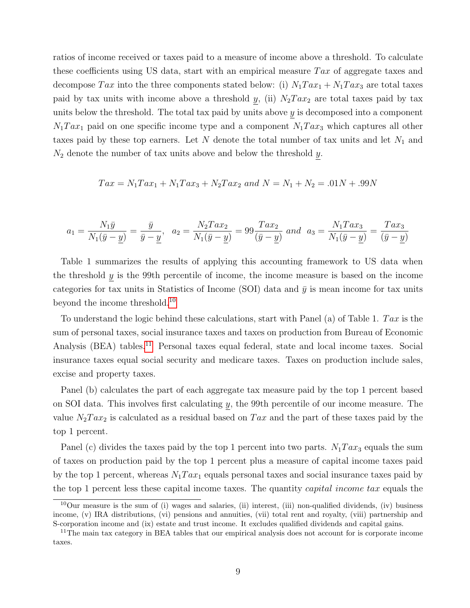ratios of income received or taxes paid to a measure of income above a threshold. To calculate these coefficients using US data, start with an empirical measure  $Tax$  of aggregate taxes and decompose Tax into the three components stated below: (i)  $N_1 T a x_1 + N_1 T a x_3$  are total taxes paid by tax units with income above a threshold y, (ii)  $N_2Tax_2$  are total taxes paid by tax units below the threshold. The total tax paid by units above  $y$  is decomposed into a component  $N_1$ Tax<sub>1</sub> paid on one specific income type and a component  $N_1$ Tax<sub>3</sub> which captures all other taxes paid by these top earners. Let N denote the total number of tax units and let  $N_1$  and  $N_2$  denote the number of tax units above and below the threshold  $y$ .

$$
Tax = N_1Tax_1 + N_1Tax_3 + N_2Tax_2
$$
 and  $N = N_1 + N_2 = .01N + .99N$ 

$$
a_1 = \frac{N_1 \bar{y}}{N_1(\bar{y} - \underline{y})} = \frac{\bar{y}}{\bar{y} - \underline{y}}, \ \ a_2 = \frac{N_2 T a x_2}{N_1(\bar{y} - \underline{y})} = 99 \frac{T a x_2}{(\bar{y} - \underline{y})} \ \text{and} \ \ a_3 = \frac{N_1 T a x_3}{N_1(\bar{y} - \underline{y})} = \frac{T a x_3}{(\bar{y} - \underline{y})}
$$

Table 1 summarizes the results of applying this accounting framework to US data when the threshold  $y$  is the 99th percentile of income, the income measure is based on the income categories for tax units in Statistics of Income (SOI) data and  $\bar{y}$  is mean income for tax units beyond the income threshold.<sup>[10](#page-0-0)</sup>

To understand the logic behind these calculations, start with Panel (a) of Table 1. Tax is the sum of personal taxes, social insurance taxes and taxes on production from Bureau of Economic Analysis (BEA) tables.<sup>[11](#page-0-0)</sup> Personal taxes equal federal, state and local income taxes. Social insurance taxes equal social security and medicare taxes. Taxes on production include sales, excise and property taxes.

Panel (b) calculates the part of each aggregate tax measure paid by the top 1 percent based on SOI data. This involves first calculating y, the 99th percentile of our income measure. The value  $N_2Tax_2$  is calculated as a residual based on Tax and the part of these taxes paid by the top 1 percent.

Panel (c) divides the taxes paid by the top 1 percent into two parts.  $N_1Tax_3$  equals the sum of taxes on production paid by the top 1 percent plus a measure of capital income taxes paid by the top 1 percent, whereas  $N_1 T a x_1$  equals personal taxes and social insurance taxes paid by the top 1 percent less these capital income taxes. The quantity *capital income tax* equals the

 $10$ Our measure is the sum of (i) wages and salaries, (ii) interest, (iii) non-qualified dividends, (iv) business income, (v) IRA distributions, (vi) pensions and annuities, (vii) total rent and royalty, (viii) partnership and S-corporation income and (ix) estate and trust income. It excludes qualified dividends and capital gains.

<sup>&</sup>lt;sup>11</sup>The main tax category in BEA tables that our empirical analysis does not account for is corporate income taxes.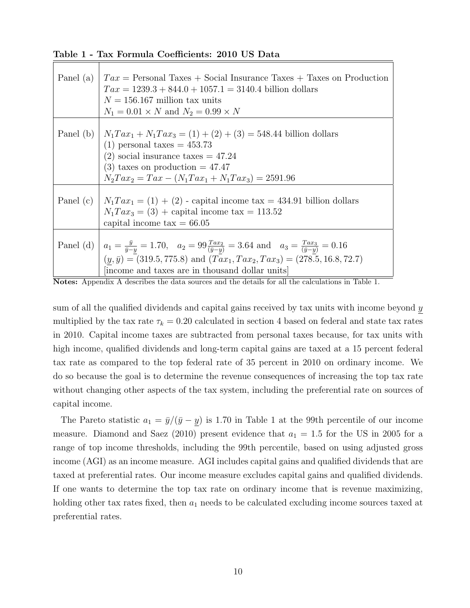| Panel (a) | $Tax =$ Personal Taxes + Social Insurance Taxes + Taxes on Production<br>$Tax = 1239.3 + 844.0 + 1057.1 = 3140.4$ billion dollars<br>$N = 156.167$ million tax units<br>$N_1 = 0.01 \times N$ and $N_2 = 0.99 \times N$                                                              |
|-----------|--------------------------------------------------------------------------------------------------------------------------------------------------------------------------------------------------------------------------------------------------------------------------------------|
|           | Panel (b) $N_1 T a x_1 + N_1 T a x_3 = (1) + (2) + (3) = 548.44$ billion dollars<br>$(1)$ personal taxes = 453.73<br>$(2)$ social insurance taxes = 47.24<br>$(3)$ taxes on production = 47.47<br>$N_2 Tax_2 = Tax - (N_1 Tax_1 + N_1 Tax_3) = 2591.96$                              |
|           | Panel (c) $N_1 T a x_1 = (1) + (2)$ - capital income tax = 434.91 billion dollars<br>$N_1 T a x_3 = (3) +$ capital income tax = 113.52<br>capital income $\text{tax} = 66.05$                                                                                                        |
|           | Panel (d) $a_1 = \frac{\bar{y}}{\bar{y}-y} = 1.70$ , $a_2 = 99 \frac{Tax_2}{(\bar{y}-y)} = 3.64$ and $a_3 = \frac{Tax_3}{(\bar{y}-y)} = 0.16$<br>$(y,\bar{y}) = (319.5, 775.8)$ and $(Tax_1, Tax_2, Tax_3) = (278.5, 16.8, 72.7)$<br>[income and taxes are in thousand dollar units] |

Table 1 - Tax Formula Coefficients: 2010 US Data

sum of all the qualified dividends and capital gains received by tax units with income beyond  $y$ multiplied by the tax rate  $\tau_k = 0.20$  calculated in section 4 based on federal and state tax rates in 2010. Capital income taxes are subtracted from personal taxes because, for tax units with high income, qualified dividends and long-term capital gains are taxed at a 15 percent federal tax rate as compared to the top federal rate of 35 percent in 2010 on ordinary income. We do so because the goal is to determine the revenue consequences of increasing the top tax rate without changing other aspects of the tax system, including the preferential rate on sources of capital income.

The Pareto statistic  $a_1 = \bar{y}/(\bar{y} - y)$  is 1.70 in Table 1 at the 99th percentile of our income measure. Diamond and Saez (2010) present evidence that  $a_1 = 1.5$  for the US in 2005 for a range of top income thresholds, including the 99th percentile, based on using adjusted gross income (AGI) as an income measure. AGI includes capital gains and qualified dividends that are taxed at preferential rates. Our income measure excludes capital gains and qualified dividends. If one wants to determine the top tax rate on ordinary income that is revenue maximizing, holding other tax rates fixed, then  $a_1$  needs to be calculated excluding income sources taxed at preferential rates.

Notes: Appendix A describes the data sources and the details for all the calculations in Table 1.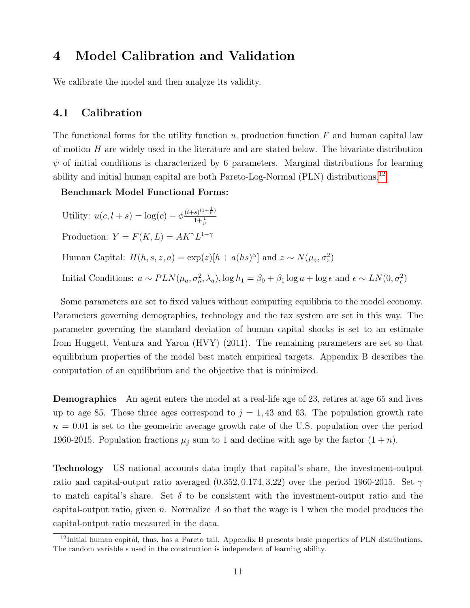# 4 Model Calibration and Validation

We calibrate the model and then analyze its validity.

### 4.1 Calibration

The functional forms for the utility function  $u$ , production function  $F$  and human capital law of motion  $H$  are widely used in the literature and are stated below. The bivariate distribution  $\psi$  of initial conditions is characterized by 6 parameters. Marginal distributions for learning ability and initial human capital are both Pareto-Log-Normal (PLN) distributions.[12](#page-0-0)

Benchmark Model Functional Forms:

Utility:  $u(c, l + s) = \log(c) - \phi \frac{(l+s)^{(1+\frac{1}{\nu})}}{1+\frac{1}{\nu}}$  $1+\frac{1}{\nu}$ 

Production:  $Y = F(K, L) = AK^{\gamma}L^{1-\gamma}$ 

Human Capital:  $H(h, s, z, a) = \exp(z)[h + a(hs)^{\alpha}]$  and  $z \sim N(\mu_z, \sigma_z^2)$ 

Initial Conditions:  $a \sim PLN(\mu_a, \sigma_a^2, \lambda_a)$ ,  $\log h_1 = \beta_0 + \beta_1 \log a + \log \epsilon$  and  $\epsilon \sim LN(0, \sigma_{\epsilon}^2)$ 

Some parameters are set to fixed values without computing equilibria to the model economy. Parameters governing demographics, technology and the tax system are set in this way. The parameter governing the standard deviation of human capital shocks is set to an estimate from Huggett, Ventura and Yaron (HVY) (2011). The remaining parameters are set so that equilibrium properties of the model best match empirical targets. Appendix B describes the computation of an equilibrium and the objective that is minimized.

**Demographics** An agent enters the model at a real-life age of 23, retires at age 65 and lives up to age 85. These three ages correspond to  $j = 1, 43$  and 63. The population growth rate  $n = 0.01$  is set to the geometric average growth rate of the U.S. population over the period 1960-2015. Population fractions  $\mu_j$  sum to 1 and decline with age by the factor  $(1 + n)$ .

Technology US national accounts data imply that capital's share, the investment-output ratio and capital-output ratio averaged  $(0.352, 0.174, 3.22)$  over the period 1960-2015. Set  $\gamma$ to match capital's share. Set  $\delta$  to be consistent with the investment-output ratio and the capital-output ratio, given n. Normalize A so that the wage is 1 when the model produces the capital-output ratio measured in the data.

<sup>&</sup>lt;sup>12</sup>Initial human capital, thus, has a Pareto tail. Appendix B presents basic properties of PLN distributions. The random variable  $\epsilon$  used in the construction is independent of learning ability.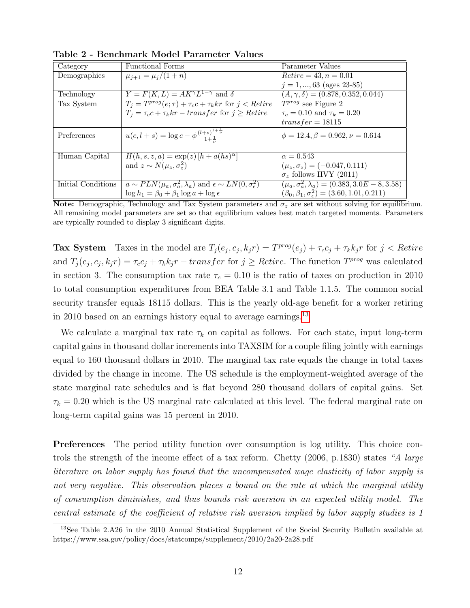| Category           | Functional Forms                                                                 | Parameter Values                                              |
|--------------------|----------------------------------------------------------------------------------|---------------------------------------------------------------|
| Demographics       | $\mu_{j+1} = \mu_j/(1+n)$                                                        | $Retire = 43, n = 0.01$                                       |
|                    |                                                                                  | $j = 1, , 63$ (ages 23-85)                                    |
| Technology         | $Y = F(K, L) = AK^{\gamma}L^{1-\gamma}$ and $\delta$                             | $(A, \gamma, \delta) = (0.878, 0.352, 0.044)$                 |
| Tax System         | $T_j = T^{prog}(e; \tau) + \tau_c c + \tau_k kr$ for $\overline{j} < R$ etire    | $\overline{T^{prog}}$ see Figure 2                            |
|                    | $T_i = \tau_c c + \tau_k kr - transfer$ for $j \geq Retire$                      | $\tau_c = 0.10$ and $\tau_k = 0.20$                           |
|                    |                                                                                  | $transfer = 18115$                                            |
| Preferences        | $u(c, l + s) = \log c - \phi \frac{(l+s)^{1+\frac{1}{\nu}}}{1+\frac{1}{\nu}}$    | $\phi = 12.4, \beta = 0.962, \nu = 0.614$                     |
|                    |                                                                                  |                                                               |
| Human Capital      | $H(h, s, z, a) = \exp(z) [h + a(hs)^\alpha]$                                     | $\alpha = 0.543$                                              |
|                    | and $z \sim N(\mu_z, \sigma_z^2)$                                                | $(\mu_z, \sigma_z) = (-0.047, 0.111)$                         |
|                    |                                                                                  | $\sigma_z$ follows HVY (2011)                                 |
| Initial Conditions | $a \sim PLN(\mu_a, \sigma_a^2, \lambda_a)$ and $\epsilon \sim LN(0, \sigma_e^2)$ | $(\mu_a, \sigma_a^2, \lambda_a) = (0.383, 3.0E - 8, 3.58)$    |
|                    | $\log h_1 = \beta_0 + \beta_1 \log a + \log \epsilon$                            | $(\beta_0, \beta_1, \sigma_\epsilon^2) = (3.60, 1.01, 0.211)$ |

Table 2 - Benchmark Model Parameter Values

Note: Demographic, Technology and Tax System parameters and  $\sigma_z$  are set without solving for equilibrium. All remaining model parameters are set so that equilibrium values best match targeted moments. Parameters are typically rounded to display 3 significant digits.

**Tax System** Taxes in the model are  $T_j(e_j, c_j, k_jr) = T^{prog}(e_j) + \tau_c c_j + \tau_k k_jr$  for  $j < R \text{etire}$ and  $T_j(e_j, c_j, k_j r) = \tau_c c_j + \tau_k k_j r - transfer$  for  $j \geq Retre$ . The function  $T^{prog}$  was calculated in section 3. The consumption tax rate  $\tau_c = 0.10$  is the ratio of taxes on production in 2010 to total consumption expenditures from BEA Table 3.1 and Table 1.1.5. The common social security transfer equals 18115 dollars. This is the yearly old-age benefit for a worker retiring in 2010 based on an earnings history equal to average earnings.<sup>[13](#page-0-0)</sup>

We calculate a marginal tax rate  $\tau_k$  on capital as follows. For each state, input long-term capital gains in thousand dollar increments into TAXSIM for a couple filing jointly with earnings equal to 160 thousand dollars in 2010. The marginal tax rate equals the change in total taxes divided by the change in income. The US schedule is the employment-weighted average of the state marginal rate schedules and is flat beyond 280 thousand dollars of capital gains. Set  $\tau_k = 0.20$  which is the US marginal rate calculated at this level. The federal marginal rate on long-term capital gains was 15 percent in 2010.

**Preferences** The period utility function over consumption is log utility. This choice controls the strength of the income effect of a tax reform. Chetty (2006, p.1830) states "A large literature on labor supply has found that the uncompensated wage elasticity of labor supply is not very negative. This observation places a bound on the rate at which the marginal utility of consumption diminishes, and thus bounds risk aversion in an expected utility model. The central estimate of the coefficient of relative risk aversion implied by labor supply studies is 1

<sup>13</sup>See Table 2.A26 in the 2010 Annual Statistical Supplement of the Social Security Bulletin available at https://www.ssa.gov/policy/docs/statcomps/supplement/2010/2a20-2a28.pdf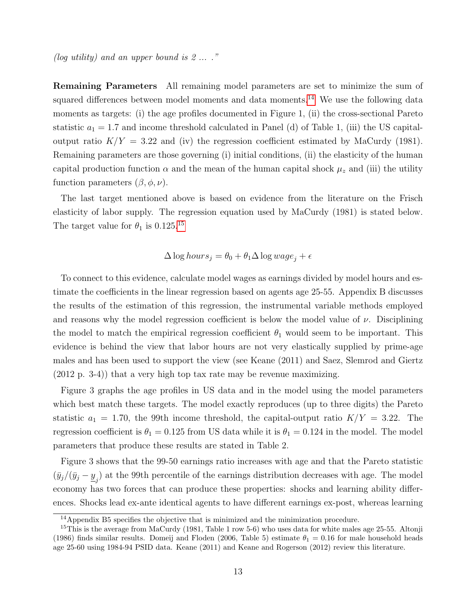(log utility) and an upper bound is  $2 \ldots$ ."

Remaining Parameters All remaining model parameters are set to minimize the sum of squared differences between model moments and data moments.<sup>[14](#page-0-0)</sup> We use the following data moments as targets: (i) the age profiles documented in Figure 1, (ii) the cross-sectional Pareto statistic  $a_1 = 1.7$  and income threshold calculated in Panel (d) of Table 1, (iii) the US capitaloutput ratio  $K/Y = 3.22$  and (iv) the regression coefficient estimated by MaCurdy (1981). Remaining parameters are those governing (i) initial conditions, (ii) the elasticity of the human capital production function  $\alpha$  and the mean of the human capital shock  $\mu_z$  and (iii) the utility function parameters  $(\beta, \phi, \nu)$ .

The last target mentioned above is based on evidence from the literature on the Frisch elasticity of labor supply. The regression equation used by MaCurdy (1981) is stated below. The target value for  $\theta_1$  is 0.125.<sup>[15](#page-0-0)</sup>

$$
\Delta \log hours_j = \theta_0 + \theta_1 \Delta \log wage_j + \epsilon
$$

To connect to this evidence, calculate model wages as earnings divided by model hours and estimate the coefficients in the linear regression based on agents age 25-55. Appendix B discusses the results of the estimation of this regression, the instrumental variable methods employed and reasons why the model regression coefficient is below the model value of  $\nu$ . Disciplining the model to match the empirical regression coefficient  $\theta_1$  would seem to be important. This evidence is behind the view that labor hours are not very elastically supplied by prime-age males and has been used to support the view (see Keane (2011) and Saez, Slemrod and Giertz (2012 p. 3-4)) that a very high top tax rate may be revenue maximizing.

Figure 3 graphs the age profiles in US data and in the model using the model parameters which best match these targets. The model exactly reproduces (up to three digits) the Pareto statistic  $a_1 = 1.70$ , the 99th income threshold, the capital-output ratio  $K/Y = 3.22$ . The regression coefficient is  $\theta_1 = 0.125$  from US data while it is  $\theta_1 = 0.124$  in the model. The model parameters that produce these results are stated in Table 2.

Figure 3 shows that the 99-50 earnings ratio increases with age and that the Pareto statistic  $(\bar{y}_j/(\bar{y}_j - \underline{y}_j)$  at the 99th percentile of the earnings distribution decreases with age. The model economy has two forces that can produce these properties: shocks and learning ability differences. Shocks lead ex-ante identical agents to have different earnings ex-post, whereas learning

<sup>14</sup>Appendix B5 specifies the objective that is minimized and the minimization procedure.

 $15$ This is the average from MaCurdy (1981, Table 1 row 5-6) who uses data for white males age 25-55. Altonji (1986) finds similar results. Domeij and Floden (2006, Table 5) estimate  $\theta_1 = 0.16$  for male household heads age 25-60 using 1984-94 PSID data. Keane (2011) and Keane and Rogerson (2012) review this literature.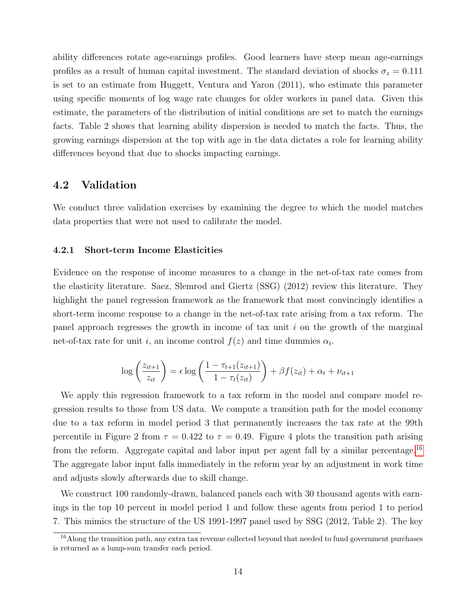ability differences rotate age-earnings profiles. Good learners have steep mean age-earnings profiles as a result of human capital investment. The standard deviation of shocks  $\sigma_z = 0.111$ is set to an estimate from Huggett, Ventura and Yaron (2011), who estimate this parameter using specific moments of log wage rate changes for older workers in panel data. Given this estimate, the parameters of the distribution of initial conditions are set to match the earnings facts. Table 2 shows that learning ability dispersion is needed to match the facts. Thus, the growing earnings dispersion at the top with age in the data dictates a role for learning ability differences beyond that due to shocks impacting earnings.

### 4.2 Validation

We conduct three validation exercises by examining the degree to which the model matches data properties that were not used to calibrate the model.

#### 4.2.1 Short-term Income Elasticities

Evidence on the response of income measures to a change in the net-of-tax rate comes from the elasticity literature. Saez, Slemrod and Giertz (SSG) (2012) review this literature. They highlight the panel regression framework as the framework that most convincingly identifies a short-term income response to a change in the net-of-tax rate arising from a tax reform. The panel approach regresses the growth in income of tax unit  $i$  on the growth of the marginal net-of-tax rate for unit *i*, an income control  $f(z)$  and time dummies  $\alpha_t$ .

$$
\log\left(\frac{z_{it+1}}{z_{it}}\right) = \epsilon \log\left(\frac{1 - \tau_{t+1}(z_{it+1})}{1 - \tau_t(z_{it})}\right) + \beta f(z_{it}) + \alpha_t + \nu_{it+1}
$$

We apply this regression framework to a tax reform in the model and compare model regression results to those from US data. We compute a transition path for the model economy due to a tax reform in model period 3 that permanently increases the tax rate at the 99th percentile in Figure 2 from  $\tau = 0.422$  to  $\tau = 0.49$ . Figure 4 plots the transition path arising from the reform. Aggregate capital and labor input per agent fall by a similar percentage.<sup>[16](#page-0-0)</sup> The aggregate labor input falls immediately in the reform year by an adjustment in work time and adjusts slowly afterwards due to skill change.

We construct 100 randomly-drawn, balanced panels each with 30 thousand agents with earnings in the top 10 percent in model period 1 and follow these agents from period 1 to period 7. This mimics the structure of the US 1991-1997 panel used by SSG (2012, Table 2). The key

<sup>&</sup>lt;sup>16</sup>Along the transition path, any extra tax revenue collected beyond that needed to fund government purchases is returned as a lump-sum transfer each period.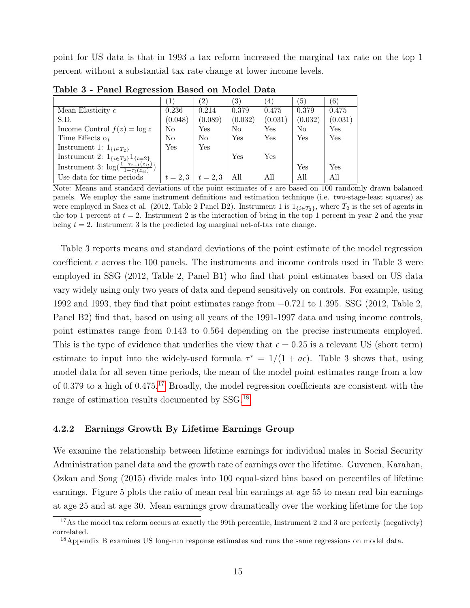point for US data is that in 1993 a tax reform increased the marginal tax rate on the top 1 percent without a substantial tax rate change at lower income levels.

|                                                                     | ้ 1        | $\left( 2\right)$    | 3)      | $\left(4\right)$     | $\left(5\right)$ | $\left(6\right)$ |
|---------------------------------------------------------------------|------------|----------------------|---------|----------------------|------------------|------------------|
| Mean Elasticity $\epsilon$                                          | 0.236      | 0.214                | 0.379   | 0.475                | 0.379            | 0.475            |
| S.D.                                                                | (0.048)    | (0.089)              | (0.032) | (0.031)              | (0.032)          | (0.031)          |
| Income Control $f(z) = \log z$                                      | No         | $\operatorname{Yes}$ | No      | $\operatorname{Yes}$ | N <sub>o</sub>   | Yes              |
| Time Effects $\alpha_t$                                             | No         | N <sub>0</sub>       | Yes     | Yes                  | Yes              | Yes              |
| Instrument 1: $1_{\{i \in T_2\}}$                                   | Yes        | Yes                  |         |                      |                  |                  |
| Instrument 2: $1_{\{i \in T_2\}} 1_{\{t=2\}}$                       |            |                      | Yes     | Yes                  |                  |                  |
| Instrument 3: $\log(\frac{1-\tau_{t+1}(z_{it})}{1-\tau_t(z_{it})})$ |            |                      |         |                      | Yes              | Yes              |
| Use data for time periods                                           | $t = 2, 3$ | $t = 2, 3$           | All     | All                  | All              | All              |

Table 3 - Panel Regression Based on Model Data

Note: Means and standard deviations of the point estimates of  $\epsilon$  are based on 100 randomly drawn balanced panels. We employ the same instrument definitions and estimation technique (i.e. two-stage-least squares) as were employed in Saez et al. (2012, Table 2 Panel B2). Instrument 1 is  $1_{\{i \in T_2\}}$ , where  $T_2$  is the set of agents in the top 1 percent at  $t = 2$ . Instrument 2 is the interaction of being in the top 1 percent in year 2 and the year being  $t = 2$ . Instrument 3 is the predicted log marginal net-of-tax rate change.

Table 3 reports means and standard deviations of the point estimate of the model regression coefficient  $\epsilon$  across the 100 panels. The instruments and income controls used in Table 3 were employed in SSG (2012, Table 2, Panel B1) who find that point estimates based on US data vary widely using only two years of data and depend sensitively on controls. For example, using 1992 and 1993, they find that point estimates range from −0.721 to 1.395. SSG (2012, Table 2, Panel B2) find that, based on using all years of the 1991-1997 data and using income controls, point estimates range from 0.143 to 0.564 depending on the precise instruments employed. This is the type of evidence that underlies the view that  $\epsilon = 0.25$  is a relevant US (short term) estimate to input into the widely-used formula  $\tau^* = 1/(1 + a\epsilon)$ . Table 3 shows that, using model data for all seven time periods, the mean of the model point estimates range from a low of 0.379 to a high of 0.475.[17](#page-0-0) Broadly, the model regression coefficients are consistent with the range of estimation results documented by SSG.[18](#page-0-0)

#### 4.2.2 Earnings Growth By Lifetime Earnings Group

We examine the relationship between lifetime earnings for individual males in Social Security Administration panel data and the growth rate of earnings over the lifetime. Guvenen, Karahan, Ozkan and Song (2015) divide males into 100 equal-sized bins based on percentiles of lifetime earnings. Figure 5 plots the ratio of mean real bin earnings at age 55 to mean real bin earnings at age 25 and at age 30. Mean earnings grow dramatically over the working lifetime for the top

<sup>&</sup>lt;sup>17</sup>As the model tax reform occurs at exactly the 99th percentile, Instrument 2 and 3 are perfectly (negatively) correlated.

<sup>&</sup>lt;sup>18</sup> Appendix B examines US long-run response estimates and runs the same regressions on model data.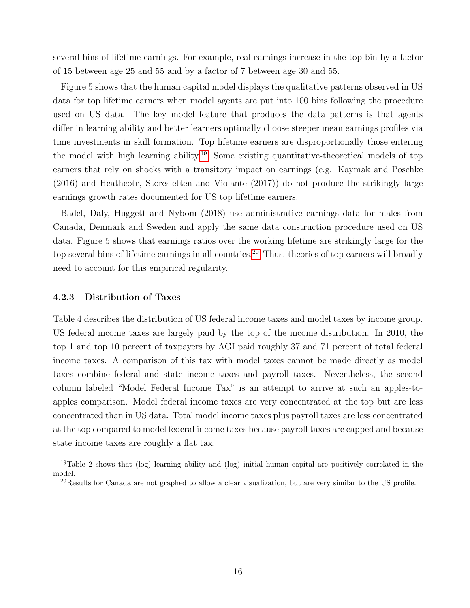several bins of lifetime earnings. For example, real earnings increase in the top bin by a factor of 15 between age 25 and 55 and by a factor of 7 between age 30 and 55.

Figure 5 shows that the human capital model displays the qualitative patterns observed in US data for top lifetime earners when model agents are put into 100 bins following the procedure used on US data. The key model feature that produces the data patterns is that agents differ in learning ability and better learners optimally choose steeper mean earnings profiles via time investments in skill formation. Top lifetime earners are disproportionally those entering the model with high learning ability.[19](#page-0-0) Some existing quantitative-theoretical models of top earners that rely on shocks with a transitory impact on earnings (e.g. Kaymak and Poschke (2016) and Heathcote, Storesletten and Violante (2017)) do not produce the strikingly large earnings growth rates documented for US top lifetime earners.

Badel, Daly, Huggett and Nybom (2018) use administrative earnings data for males from Canada, Denmark and Sweden and apply the same data construction procedure used on US data. Figure 5 shows that earnings ratios over the working lifetime are strikingly large for the top several bins of lifetime earnings in all countries.<sup>[20](#page-0-0)</sup> Thus, theories of top earners will broadly need to account for this empirical regularity.

#### 4.2.3 Distribution of Taxes

Table 4 describes the distribution of US federal income taxes and model taxes by income group. US federal income taxes are largely paid by the top of the income distribution. In 2010, the top 1 and top 10 percent of taxpayers by AGI paid roughly 37 and 71 percent of total federal income taxes. A comparison of this tax with model taxes cannot be made directly as model taxes combine federal and state income taxes and payroll taxes. Nevertheless, the second column labeled "Model Federal Income Tax" is an attempt to arrive at such an apples-toapples comparison. Model federal income taxes are very concentrated at the top but are less concentrated than in US data. Total model income taxes plus payroll taxes are less concentrated at the top compared to model federal income taxes because payroll taxes are capped and because state income taxes are roughly a flat tax.

<sup>&</sup>lt;sup>19</sup>Table 2 shows that (log) learning ability and (log) initial human capital are positively correlated in the model.

 $^{20}$ Results for Canada are not graphed to allow a clear visualization, but are very similar to the US profile.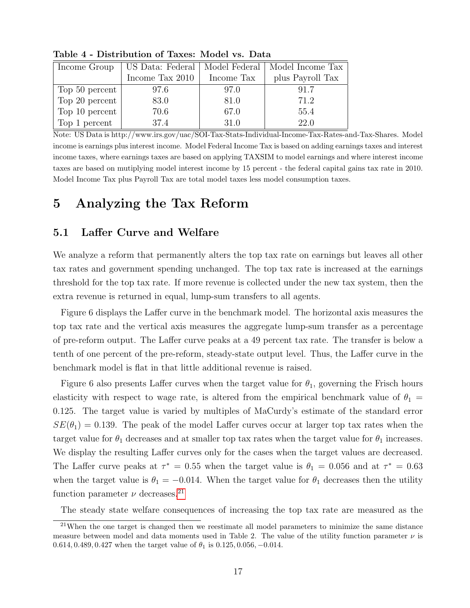| Income Group   | US Data: Federal | Model Federal | Model Income Tax |  |
|----------------|------------------|---------------|------------------|--|
|                | Income Tax 2010  | Income Tax    | plus Payroll Tax |  |
| Top 50 percent | 97.6             | 97.0          | 91.7             |  |
| Top 20 percent | 83.0             | 81.0          | 71.2             |  |
| Top 10 percent | 70.6             | 67.0          | 55.4             |  |
| Top 1 percent  | 37.4             | 31.0          | 22.0             |  |

Table 4 - Distribution of Taxes: Model vs. Data

Note: US Data is http://www.irs.gov/uac/SOI-Tax-Stats-Individual-Income-Tax-Rates-and-Tax-Shares. Model income is earnings plus interest income. Model Federal Income Tax is based on adding earnings taxes and interest income taxes, where earnings taxes are based on applying TAXSIM to model earnings and where interest income taxes are based on mutiplying model interest income by 15 percent - the federal capital gains tax rate in 2010. Model Income Tax plus Payroll Tax are total model taxes less model consumption taxes.

# 5 Analyzing the Tax Reform

# 5.1 Laffer Curve and Welfare

We analyze a reform that permanently alters the top tax rate on earnings but leaves all other tax rates and government spending unchanged. The top tax rate is increased at the earnings threshold for the top tax rate. If more revenue is collected under the new tax system, then the extra revenue is returned in equal, lump-sum transfers to all agents.

Figure 6 displays the Laffer curve in the benchmark model. The horizontal axis measures the top tax rate and the vertical axis measures the aggregate lump-sum transfer as a percentage of pre-reform output. The Laffer curve peaks at a 49 percent tax rate. The transfer is below a tenth of one percent of the pre-reform, steady-state output level. Thus, the Laffer curve in the benchmark model is flat in that little additional revenue is raised.

Figure 6 also presents Laffer curves when the target value for  $\theta_1$ , governing the Frisch hours elasticity with respect to wage rate, is altered from the empirical benchmark value of  $\theta_1 =$ 0.125. The target value is varied by multiples of MaCurdy's estimate of the standard error  $SE(\theta_1) = 0.139$ . The peak of the model Laffer curves occur at larger top tax rates when the target value for  $\theta_1$  decreases and at smaller top tax rates when the target value for  $\theta_1$  increases. We display the resulting Laffer curves only for the cases when the target values are decreased. The Laffer curve peaks at  $\tau^* = 0.55$  when the target value is  $\theta_1 = 0.056$  and at  $\tau^* = 0.63$ when the target value is  $\theta_1 = -0.014$ . When the target value for  $\theta_1$  decreases then the utility function parameter  $\nu$  decreases.<sup>[21](#page-0-0)</sup>

The steady state welfare consequences of increasing the top tax rate are measured as the

 $21$ When the one target is changed then we reestimate all model parameters to minimize the same distance measure between model and data moments used in Table 2. The value of the utility function parameter  $\nu$  is 0.614, 0.489, 0.427 when the target value of  $\theta_1$  is 0.125, 0.056, -0.014.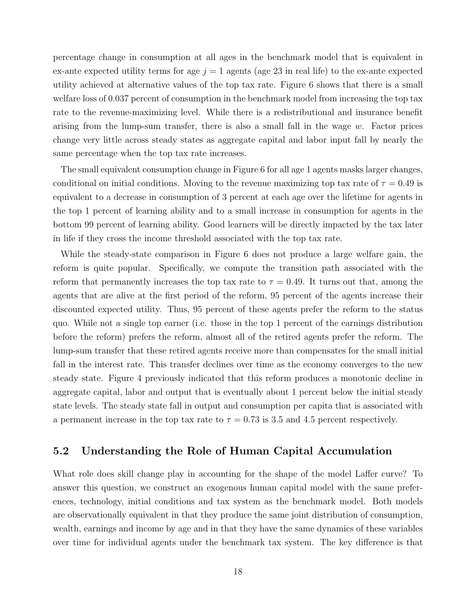percentage change in consumption at all ages in the benchmark model that is equivalent in ex-ante expected utility terms for age  $j = 1$  agents (age 23 in real life) to the ex-ante expected utility achieved at alternative values of the top tax rate. Figure 6 shows that there is a small welfare loss of 0.037 percent of consumption in the benchmark model from increasing the top tax rate to the revenue-maximizing level. While there is a redistributional and insurance benefit arising from the lump-sum transfer, there is also a small fall in the wage  $w$ . Factor prices change very little across steady states as aggregate capital and labor input fall by nearly the same percentage when the top tax rate increases.

The small equivalent consumption change in Figure 6 for all age 1 agents masks larger changes, conditional on initial conditions. Moving to the revenue maximizing top tax rate of  $\tau = 0.49$  is equivalent to a decrease in consumption of 3 percent at each age over the lifetime for agents in the top 1 percent of learning ability and to a small increase in consumption for agents in the bottom 99 percent of learning ability. Good learners will be directly impacted by the tax later in life if they cross the income threshold associated with the top tax rate.

While the steady-state comparison in Figure 6 does not produce a large welfare gain, the reform is quite popular. Specifically, we compute the transition path associated with the reform that permanently increases the top tax rate to  $\tau = 0.49$ . It turns out that, among the agents that are alive at the first period of the reform, 95 percent of the agents increase their discounted expected utility. Thus, 95 percent of these agents prefer the reform to the status quo. While not a single top earner (i.e. those in the top 1 percent of the earnings distribution before the reform) prefers the reform, almost all of the retired agents prefer the reform. The lump-sum transfer that these retired agents receive more than compensates for the small initial fall in the interest rate. This transfer declines over time as the economy converges to the new steady state. Figure 4 previously indicated that this reform produces a monotonic decline in aggregate capital, labor and output that is eventually about 1 percent below the initial steady state levels. The steady state fall in output and consumption per capita that is associated with a permanent increase in the top tax rate to  $\tau = 0.73$  is 3.5 and 4.5 percent respectively.

### 5.2 Understanding the Role of Human Capital Accumulation

What role does skill change play in accounting for the shape of the model Laffer curve? To answer this question, we construct an exogenous human capital model with the same preferences, technology, initial conditions and tax system as the benchmark model. Both models are observationally equivalent in that they produce the same joint distribution of consumption, wealth, earnings and income by age and in that they have the same dynamics of these variables over time for individual agents under the benchmark tax system. The key difference is that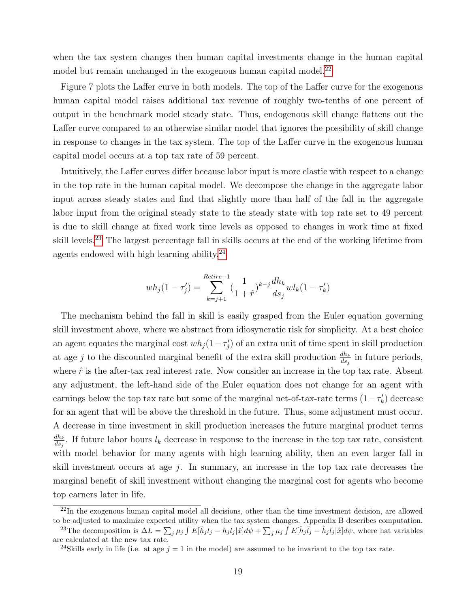when the tax system changes then human capital investments change in the human capital model but remain unchanged in the exogenous human capital model.<sup>[22](#page-0-0)</sup>

Figure 7 plots the Laffer curve in both models. The top of the Laffer curve for the exogenous human capital model raises additional tax revenue of roughly two-tenths of one percent of output in the benchmark model steady state. Thus, endogenous skill change flattens out the Laffer curve compared to an otherwise similar model that ignores the possibility of skill change in response to changes in the tax system. The top of the Laffer curve in the exogenous human capital model occurs at a top tax rate of 59 percent.

Intuitively, the Laffer curves differ because labor input is more elastic with respect to a change in the top rate in the human capital model. We decompose the change in the aggregate labor input across steady states and find that slightly more than half of the fall in the aggregate labor input from the original steady state to the steady state with top rate set to 49 percent is due to skill change at fixed work time levels as opposed to changes in work time at fixed skill levels.<sup>[23](#page-0-0)</sup> The largest percentage fall in skills occurs at the end of the working lifetime from agents endowed with high learning ability. $^{24}$  $^{24}$  $^{24}$ 

$$
wh_j(1 - \tau'_j) = \sum_{k=j+1}^{Retire-1} \left(\frac{1}{1 + \hat{r}}\right)^{k-j} \frac{dh_k}{ds_j}wl_k(1 - \tau'_k)
$$

The mechanism behind the fall in skill is easily grasped from the Euler equation governing skill investment above, where we abstract from idiosyncratic risk for simplicity. At a best choice an agent equates the marginal cost  $wh_j(1-\tau'_j)$  of an extra unit of time spent in skill production at age j to the discounted marginal benefit of the extra skill production  $\frac{dh_k}{ds_j}$  in future periods, where  $\hat{r}$  is the after-tax real interest rate. Now consider an increase in the top tax rate. Absent any adjustment, the left-hand side of the Euler equation does not change for an agent with earnings below the top tax rate but some of the marginal net-of-tax-rate terms  $(1 - \tau_k')$  decrease for an agent that will be above the threshold in the future. Thus, some adjustment must occur. A decrease in time investment in skill production increases the future marginal product terms  $dh_k$  $\frac{dh_k}{ds_j}$ . If future labor hours  $l_k$  decrease in response to the increase in the top tax rate, consistent with model behavior for many agents with high learning ability, then an even larger fall in skill investment occurs at age  $j$ . In summary, an increase in the top tax rate decreases the marginal benefit of skill investment without changing the marginal cost for agents who become top earners later in life.

 $^{22}$ In the exogenous human capital model all decisions, other than the time investment decision, are allowed to be adjusted to maximize expected utility when the tax system changes. Appendix B describes computation. <sup>23</sup>The decomposition is  $\Delta L = \sum_j \mu_j \int E[\hat{h}_j l_j - h_j l_j] \hat{x} d\psi + \sum_j \mu_j \int E[\hat{h}_j \hat{l}_j - \hat{h}_j l_j] \hat{x} d\psi$ , where hat variables

are calculated at the new tax rate.

<sup>&</sup>lt;sup>24</sup>Skills early in life (i.e. at age  $j = 1$  in the model) are assumed to be invariant to the top tax rate.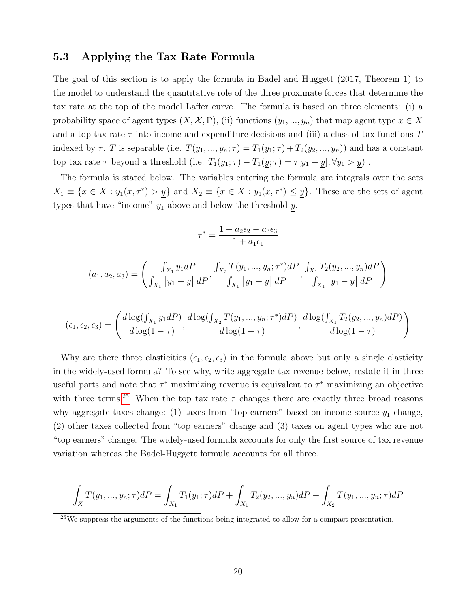### 5.3 Applying the Tax Rate Formula

The goal of this section is to apply the formula in Badel and Huggett (2017, Theorem 1) to the model to understand the quantitative role of the three proximate forces that determine the tax rate at the top of the model Laffer curve. The formula is based on three elements: (i) a probability space of agent types  $(X, \mathcal{X}, P)$ , (ii) functions  $(y_1, ..., y_n)$  that map agent type  $x \in X$ and a top tax rate  $\tau$  into income and expenditure decisions and (iii) a class of tax functions T indexed by  $\tau$ . T is separable (i.e.  $T(y_1, ..., y_n; \tau) = T_1(y_1; \tau) + T_2(y_2, ..., y_n)$ ) and has a constant top tax rate  $\tau$  beyond a threshold (i.e.  $T_1(y_1; \tau) - T_1(\underline{y}; \tau) = \tau[y_1 - \underline{y}], \forall y_1 > \underline{y})$ .

The formula is stated below. The variables entering the formula are integrals over the sets  $X_1 \equiv \{x \in X : y_1(x, \tau^*) > y\}$  and  $X_2 \equiv \{x \in X : y_1(x, \tau^*) \leq y\}$ . These are the sets of agent types that have "income"  $y_1$  above and below the threshold  $y$ .

$$
\tau^* = \frac{1 - a_2 \epsilon_2 - a_3 \epsilon_3}{1 + a_1 \epsilon_1}
$$

$$
(a_1, a_2, a_3) = \left(\frac{\int_{X_1} y_1 dP}{\int_{X_1} [y_1 - \underline{y}] dP}, \frac{\int_{X_2} T(y_1, ..., y_n; \tau^*) dP}{\int_{X_1} [y_1 - \underline{y}] dP}, \frac{\int_{X_1} T_2(y_2, ..., y_n) dP}{\int_{X_1} [y_1 - \underline{y}] dP}\right)
$$

$$
(\epsilon_1, \epsilon_2, \epsilon_3) = \left( \frac{d \log(\int_{X_1} y_1 dP)}{d \log(1-\tau)}, \frac{d \log(\int_{X_2} T(y_1, ..., y_n; \tau^*) dP)}{d \log(1-\tau)}, \frac{d \log(\int_{X_1} T_2(y_2, ..., y_n) dP)}{d \log(1-\tau)} \right)
$$

Why are there three elasticities  $(\epsilon_1, \epsilon_2, \epsilon_3)$  in the formula above but only a single elasticity in the widely-used formula? To see why, write aggregate tax revenue below, restate it in three useful parts and note that  $\tau^*$  maximizing revenue is equivalent to  $\tau^*$  maximizing an objective with three terms.<sup>[25](#page-0-0)</sup> When the top tax rate  $\tau$  changes there are exactly three broad reasons why aggregate taxes change: (1) taxes from "top earners" based on income source  $y_1$  change, (2) other taxes collected from "top earners" change and (3) taxes on agent types who are not "top earners" change. The widely-used formula accounts for only the first source of tax revenue variation whereas the Badel-Huggett formula accounts for all three.

$$
\int_X T(y_1, ..., y_n; \tau) dP = \int_{X_1} T_1(y_1; \tau) dP + \int_{X_1} T_2(y_2, ..., y_n) dP + \int_{X_2} T(y_1, ..., y_n; \tau) dP
$$

<sup>25</sup>We suppress the arguments of the functions being integrated to allow for a compact presentation.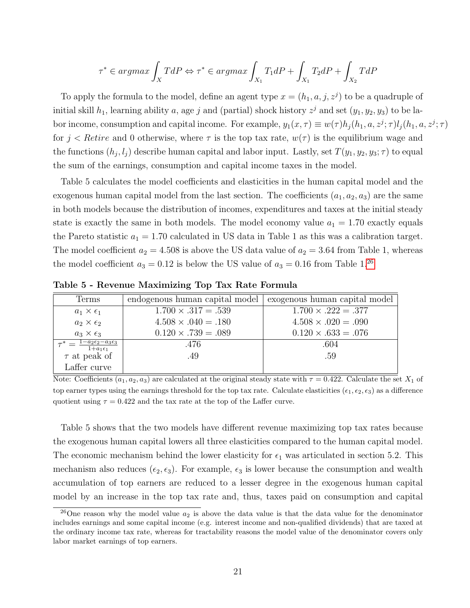$$
\tau^* \in argmax \int_X T dP \Leftrightarrow \tau^* \in argmax \int_{X_1} T_1 dP + \int_{X_1} T_2 dP + \int_{X_2} T dP
$$

To apply the formula to the model, define an agent type  $x = (h_1, a, j, z^j)$  to be a quadruple of initial skill  $h_1$ , learning ability a, age j and (partial) shock history  $z^j$  and set  $(y_1, y_2, y_3)$  to be labor income, consumption and capital income. For example,  $y_1(x, \tau) \equiv w(\tau)h_j(h_1, a, z^j; \tau)l_j(h_1, a, z^j; \tau)$ for  $j <$  Retire and 0 otherwise, where  $\tau$  is the top tax rate,  $w(\tau)$  is the equilibrium wage and the functions  $(h_j, l_j)$  describe human capital and labor input. Lastly, set  $T(y_1, y_2, y_3; \tau)$  to equal the sum of the earnings, consumption and capital income taxes in the model.

Table 5 calculates the model coefficients and elasticities in the human capital model and the exogenous human capital model from the last section. The coefficients  $(a_1, a_2, a_3)$  are the same in both models because the distribution of incomes, expenditures and taxes at the initial steady state is exactly the same in both models. The model economy value  $a_1 = 1.70$  exactly equals the Pareto statistic  $a_1 = 1.70$  calculated in US data in Table 1 as this was a calibration target. The model coefficient  $a_2 = 4.508$  is above the US data value of  $a_2 = 3.64$  from Table 1, whereas the model coefficient  $a_3 = 0.12$  is below the US value of  $a_3 = 0.16$  from Table 1.<sup>[26](#page-0-0)</sup>

| Terms'                                                            | endogenous human capital model | exogenous human capital model |
|-------------------------------------------------------------------|--------------------------------|-------------------------------|
| $a_1 \times \epsilon_1$                                           | $1.700 \times .317 = .539$     | $1.700 \times .222 = .377$    |
| $a_2 \times \epsilon_2$                                           | $4.508 \times .040 = .180$     | $4.508 \times 0.020 = 0.090$  |
| $a_3 \times \epsilon_3$                                           | $0.120 \times .739 = .089$     | $0.120 \times .633 = .076$    |
| $=$ $\frac{1-a_2\epsilon_2-a_3\epsilon_3}{}$<br>$1+a_1\epsilon_1$ | .476                           | .604                          |
| $\tau$ at peak of                                                 | .49                            | .59                           |
| Laffer curve                                                      |                                |                               |

Table 5 - Revenue Maximizing Top Tax Rate Formula

Note: Coefficients  $(a_1, a_2, a_3)$  are calculated at the original steady state with  $\tau = 0.422$ . Calculate the set  $X_1$  of top earner types using the earnings threshold for the top tax rate. Calculate elasticities ( $\epsilon_1, \epsilon_2, \epsilon_3$ ) as a difference quotient using  $\tau = 0.422$  and the tax rate at the top of the Laffer curve.

Table 5 shows that the two models have different revenue maximizing top tax rates because the exogenous human capital lowers all three elasticities compared to the human capital model. The economic mechanism behind the lower elasticity for  $\epsilon_1$  was articulated in section 5.2. This mechanism also reduces  $(\epsilon_2, \epsilon_3)$ . For example,  $\epsilon_3$  is lower because the consumption and wealth accumulation of top earners are reduced to a lesser degree in the exogenous human capital model by an increase in the top tax rate and, thus, taxes paid on consumption and capital

<sup>&</sup>lt;sup>26</sup>One reason why the model value  $a_2$  is above the data value is that the data value for the denominator includes earnings and some capital income (e.g. interest income and non-qualified dividends) that are taxed at the ordinary income tax rate, whereas for tractability reasons the model value of the denominator covers only labor market earnings of top earners.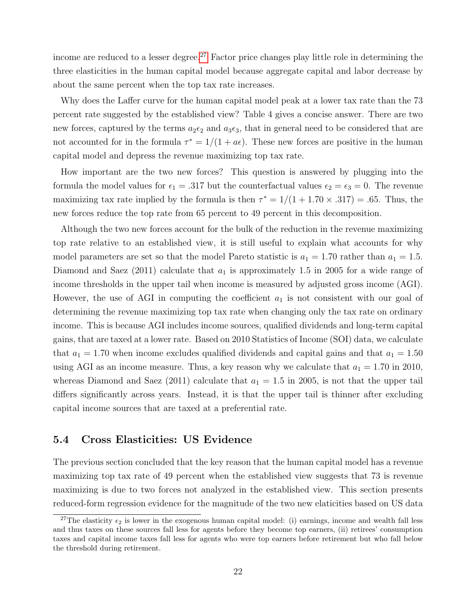income are reduced to a lesser degree.<sup>[27](#page-0-0)</sup> Factor price changes play little role in determining the three elasticities in the human capital model because aggregate capital and labor decrease by about the same percent when the top tax rate increases.

Why does the Laffer curve for the human capital model peak at a lower tax rate than the 73 percent rate suggested by the established view? Table 4 gives a concise answer. There are two new forces, captured by the terms  $a_2 \epsilon_2$  and  $a_3 \epsilon_3$ , that in general need to be considered that are not accounted for in the formula  $\tau^* = 1/(1 + a\epsilon)$ . These new forces are positive in the human capital model and depress the revenue maximizing top tax rate.

How important are the two new forces? This question is answered by plugging into the formula the model values for  $\epsilon_1 = .317$  but the counterfactual values  $\epsilon_2 = \epsilon_3 = 0$ . The revenue maximizing tax rate implied by the formula is then  $\tau^* = 1/(1 + 1.70 \times .317) = .65$ . Thus, the new forces reduce the top rate from 65 percent to 49 percent in this decomposition.

Although the two new forces account for the bulk of the reduction in the revenue maximizing top rate relative to an established view, it is still useful to explain what accounts for why model parameters are set so that the model Pareto statistic is  $a_1 = 1.70$  rather than  $a_1 = 1.5$ . Diamond and Saez (2011) calculate that  $a_1$  is approximately 1.5 in 2005 for a wide range of income thresholds in the upper tail when income is measured by adjusted gross income (AGI). However, the use of AGI in computing the coefficient  $a_1$  is not consistent with our goal of determining the revenue maximizing top tax rate when changing only the tax rate on ordinary income. This is because AGI includes income sources, qualified dividends and long-term capital gains, that are taxed at a lower rate. Based on 2010 Statistics of Income (SOI) data, we calculate that  $a_1 = 1.70$  when income excludes qualified dividends and capital gains and that  $a_1 = 1.50$ using AGI as an income measure. Thus, a key reason why we calculate that  $a_1 = 1.70$  in 2010, whereas Diamond and Saez (2011) calculate that  $a_1 = 1.5$  in 2005, is not that the upper tail differs significantly across years. Instead, it is that the upper tail is thinner after excluding capital income sources that are taxed at a preferential rate.

### 5.4 Cross Elasticities: US Evidence

The previous section concluded that the key reason that the human capital model has a revenue maximizing top tax rate of 49 percent when the established view suggests that 73 is revenue maximizing is due to two forces not analyzed in the established view. This section presents reduced-form regression evidence for the magnitude of the two new elaticities based on US data

<sup>&</sup>lt;sup>27</sup>The elasticity  $\epsilon_2$  is lower in the exogenous human capital model: (i) earnings, income and wealth fall less and thus taxes on these sources fall less for agents before they become top earners, (ii) retirees' consumption taxes and capital income taxes fall less for agents who were top earners before retirement but who fall below the threshold during retirement.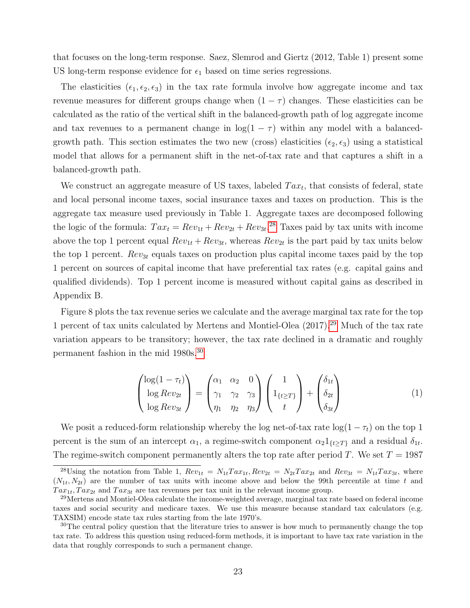that focuses on the long-term response. Saez, Slemrod and Giertz (2012, Table 1) present some US long-term response evidence for  $\epsilon_1$  based on time series regressions.

The elasticities  $(\epsilon_1, \epsilon_2, \epsilon_3)$  in the tax rate formula involve how aggregate income and tax revenue measures for different groups change when  $(1 - \tau)$  changes. These elasticities can be calculated as the ratio of the vertical shift in the balanced-growth path of log aggregate income and tax revenues to a permanent change in  $log(1 - \tau)$  within any model with a balancedgrowth path. This section estimates the two new (cross) elasticities  $(\epsilon_2, \epsilon_3)$  using a statistical model that allows for a permanent shift in the net-of-tax rate and that captures a shift in a balanced-growth path.

We construct an aggregate measure of US taxes, labeled  $Tax_t$ , that consists of federal, state and local personal income taxes, social insurance taxes and taxes on production. This is the aggregate tax measure used previously in Table 1. Aggregate taxes are decomposed following the logic of the formula:  $Tax_t = Rev_{1t} + Rev_{2t} + Rev_{3t}$ <sup>[28](#page-0-0)</sup> Taxes paid by tax units with income above the top 1 percent equal  $Rev_{1t} + Rev_{3t}$ , whereas  $Rev_{2t}$  is the part paid by tax units below the top 1 percent.  $Rev_{3t}$  equals taxes on production plus capital income taxes paid by the top 1 percent on sources of capital income that have preferential tax rates (e.g. capital gains and qualified dividends). Top 1 percent income is measured without capital gains as described in Appendix B.

Figure 8 plots the tax revenue series we calculate and the average marginal tax rate for the top 1 percent of tax units calculated by Mertens and Montiel-Olea (2017).[29](#page-0-0) Much of the tax rate variation appears to be transitory; however, the tax rate declined in a dramatic and roughly permanent fashion in the mid 1980s.[30](#page-0-0)

$$
\begin{pmatrix}\n\log(1-\tau_t) \\
\log Rev_{2t} \\
\log Rev_{3t}\n\end{pmatrix} = \begin{pmatrix}\n\alpha_1 & \alpha_2 & 0 \\
\gamma_1 & \gamma_2 & \gamma_3 \\
\eta_1 & \eta_2 & \eta_3\n\end{pmatrix} \begin{pmatrix}\n1 \\
1_{\{t \ge T\}} \\
t\n\end{pmatrix} + \begin{pmatrix}\n\delta_{1t} \\
\delta_{2t} \\
\delta_{3t}\n\end{pmatrix}
$$
\n(1)

We posit a reduced-form relationship whereby the log net-of-tax rate  $log(1 - \tau_t)$  on the top 1 percent is the sum of an intercept  $\alpha_1$ , a regime-switch component  $\alpha_2 1_{\{t\geq T\}}$  and a residual  $\delta_{1t}$ . The regime-switch component permanently alters the top rate after period T. We set  $T = 1987$ 

<sup>&</sup>lt;sup>28</sup>Using the notation from Table 1,  $Rev_{1t} = N_{1t} Tax_{1t}$ ,  $Rev_{2t} = N_{2t} Tax_{2t}$  and  $Rev_{3t} = N_{1t} Tax_{3t}$ , where  $(N_{1t}, N_{2t})$  are the number of tax units with income above and below the 99th percentile at time t and  $Tax_{1t}, Tax_{2t}$  and  $Tax_{3t}$  are tax revenues per tax unit in the relevant income group.

<sup>&</sup>lt;sup>29</sup>Mertens and Montiel-Olea calculate the income-weighted average, marginal tax rate based on federal income taxes and social security and medicare taxes. We use this measure because standard tax calculators (e.g. TAXSIM) encode state tax rules starting from the late 1970's.

<sup>&</sup>lt;sup>30</sup>The central policy question that the literature tries to answer is how much to permanently change the top tax rate. To address this question using reduced-form methods, it is important to have tax rate variation in the data that roughly corresponds to such a permanent change.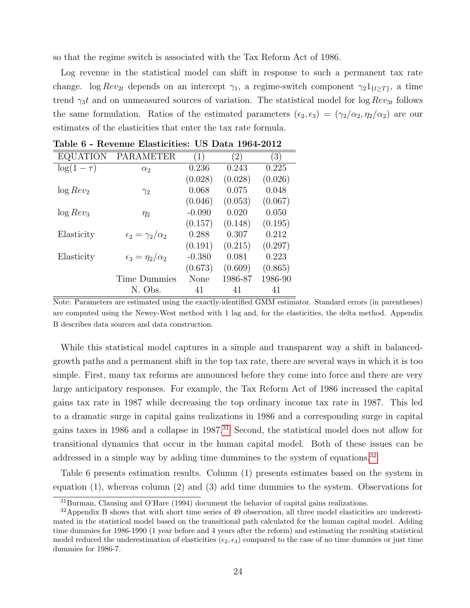so that the regime switch is associated with the Tax Reform Act of 1986.

Log revenue in the statistical model can shift in response to such a permanent tax rate change. log  $Rev_{2t}$  depends on an intercept  $\gamma_1$ , a regime-switch component  $\gamma_2 1_{\{t\geq T\}}$ , a time trend  $\gamma_3 t$  and on unmeasured sources of variation. The statistical model for  $\log Rev_{3t}$  follows the same formulation. Ratios of the estimated parameters  $(\epsilon_2, \epsilon_3) = (\gamma_2/\alpha_2, \eta_2/\alpha_2)$  are our estimates of the elasticities that enter the tax rate formula.

| EQUATION       | PARAMETER                        | $\left( 1\right)$ | $^{\prime}2)$ | $\left(3\right)$ |
|----------------|----------------------------------|-------------------|---------------|------------------|
| $\log(1-\tau)$ | $\alpha_2$                       | 0.236             | 0.243         | 0.225            |
|                |                                  | (0.028)           | (0.028)       | (0.026)          |
| $\log Rev_2$   | $\gamma_2$                       | 0.068             | 0.075         | 0.048            |
|                |                                  | (0.046)           | (0.053)       | (0.067)          |
| $\log Rev_3$   | $\eta_2$                         | $-0.090$          | 0.020         | 0.050            |
|                |                                  | (0.157)           | (0.148)       | (0.195)          |
| Elasticity     | $\epsilon_2 = \gamma_2/\alpha_2$ | 0.288             | 0.307         | 0.212            |
|                |                                  | (0.191)           | (0.215)       | (0.297)          |
| Elasticity     | $\epsilon_3 = \eta_2/\alpha_2$   | $-0.380$          | 0.081         | 0.223            |
|                |                                  | (0.673)           | (0.609)       | (0.865)          |
|                | <b>Time Dummies</b>              | None              | 1986-87       | 1986-90          |
|                | N. Obs.                          | 41                | 41            | 41               |

Table 6 - Revenue Elasticities: US Data 1964-2012

Note: Parameters are estimated using the exactly-identified GMM estimator. Standard errors (in parentheses) are computed using the Newey-West method with 1 lag and, for the elasticities, the delta method. Appendix B describes data sources and data construction.

While this statistical model captures in a simple and transparent way a shift in balancedgrowth paths and a permanent shift in the top tax rate, there are several ways in which it is too simple. First, many tax reforms are announced before they come into force and there are very large anticipatory responses. For example, the Tax Reform Act of 1986 increased the capital gains tax rate in 1987 while decreasing the top ordinary income tax rate in 1987. This led to a dramatic surge in capital gains realizations in 1986 and a corresponding surge in capital gains taxes in 1986 and a collapse in 1987.<sup>[31](#page-0-0)</sup> Second, the statistical model does not allow for transitional dynamics that occur in the human capital model. Both of these issues can be addressed in a simple way by adding time dummines to the system of equations.<sup>[32](#page-0-0)</sup>

Table 6 presents estimation results. Column (1) presents estimates based on the system in equation (1), whereas column (2) and (3) add time dummies to the system. Observations for

<sup>31</sup>Burman, Clausing and O'Hare (1994) document the behavior of capital gains realizations.

<sup>&</sup>lt;sup>32</sup>Appendix B shows that with short time series of 49 observation, all three model elasticities are underestimated in the statistical model based on the transitional path calculated for the human capital model. Adding time dummies for 1986-1990 (1 year before and 4 years after the reform) and estimating the resulting statistical model reduced the underestimation of elasticities  $(\epsilon_2, \epsilon_3)$  compared to the case of no time dummies or just time dummies for 1986-7.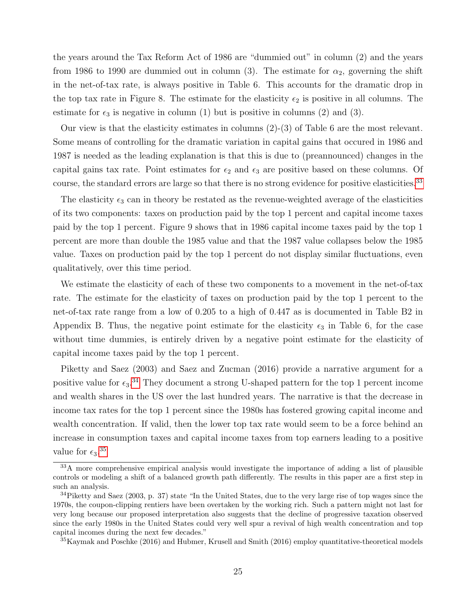the years around the Tax Reform Act of 1986 are "dummied out" in column (2) and the years from 1986 to 1990 are dummied out in column (3). The estimate for  $\alpha_2$ , governing the shift in the net-of-tax rate, is always positive in Table 6. This accounts for the dramatic drop in the top tax rate in Figure 8. The estimate for the elasticity  $\epsilon_2$  is positive in all columns. The estimate for  $\epsilon_3$  is negative in column (1) but is positive in columns (2) and (3).

Our view is that the elasticity estimates in columns (2)-(3) of Table 6 are the most relevant. Some means of controlling for the dramatic variation in capital gains that occured in 1986 and 1987 is needed as the leading explanation is that this is due to (preannounced) changes in the capital gains tax rate. Point estimates for  $\epsilon_2$  and  $\epsilon_3$  are positive based on these columns. Of course, the standard errors are large so that there is no strong evidence for positive elasticities.<sup>[33](#page-0-0)</sup>

The elasticity  $\epsilon_3$  can in theory be restated as the revenue-weighted average of the elasticities of its two components: taxes on production paid by the top 1 percent and capital income taxes paid by the top 1 percent. Figure 9 shows that in 1986 capital income taxes paid by the top 1 percent are more than double the 1985 value and that the 1987 value collapses below the 1985 value. Taxes on production paid by the top 1 percent do not display similar fluctuations, even qualitatively, over this time period.

We estimate the elasticity of each of these two components to a movement in the net-of-tax rate. The estimate for the elasticity of taxes on production paid by the top 1 percent to the net-of-tax rate range from a low of 0.205 to a high of 0.447 as is documented in Table B2 in Appendix B. Thus, the negative point estimate for the elasticity  $\epsilon_3$  in Table 6, for the case without time dummies, is entirely driven by a negative point estimate for the elasticity of capital income taxes paid by the top 1 percent.

Piketty and Saez (2003) and Saez and Zucman (2016) provide a narrative argument for a positive value for  $\epsilon_3$ .<sup>[34](#page-0-0)</sup> They document a strong U-shaped pattern for the top 1 percent income and wealth shares in the US over the last hundred years. The narrative is that the decrease in income tax rates for the top 1 percent since the 1980s has fostered growing capital income and wealth concentration. If valid, then the lower top tax rate would seem to be a force behind an increase in consumption taxes and capital income taxes from top earners leading to a positive value for  $\epsilon_3$ .<sup>[35](#page-0-0)</sup>

<sup>33</sup>A more comprehensive empirical analysis would investigate the importance of adding a list of plausible controls or modeling a shift of a balanced growth path differently. The results in this paper are a first step in such an analysis.

 $34$ Piketty and Saez (2003, p. 37) state "In the United States, due to the very large rise of top wages since the 1970s, the coupon-clipping rentiers have been overtaken by the working rich. Such a pattern might not last for very long because our proposed interpretation also suggests that the decline of progressive taxation observed since the early 1980s in the United States could very well spur a revival of high wealth concentration and top capital incomes during the next few decades."

<sup>35</sup>Kaymak and Poschke (2016) and Hubmer, Krusell and Smith (2016) employ quantitative-theoretical models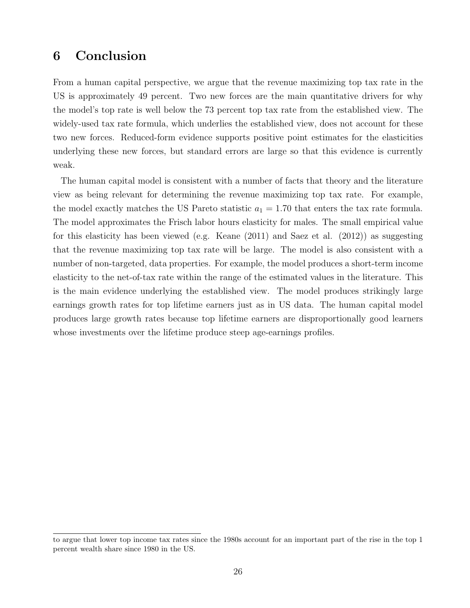# 6 Conclusion

From a human capital perspective, we argue that the revenue maximizing top tax rate in the US is approximately 49 percent. Two new forces are the main quantitative drivers for why the model's top rate is well below the 73 percent top tax rate from the established view. The widely-used tax rate formula, which underlies the established view, does not account for these two new forces. Reduced-form evidence supports positive point estimates for the elasticities underlying these new forces, but standard errors are large so that this evidence is currently weak.

The human capital model is consistent with a number of facts that theory and the literature view as being relevant for determining the revenue maximizing top tax rate. For example, the model exactly matches the US Pareto statistic  $a_1 = 1.70$  that enters the tax rate formula. The model approximates the Frisch labor hours elasticity for males. The small empirical value for this elasticity has been viewed (e.g. Keane (2011) and Saez et al. (2012)) as suggesting that the revenue maximizing top tax rate will be large. The model is also consistent with a number of non-targeted, data properties. For example, the model produces a short-term income elasticity to the net-of-tax rate within the range of the estimated values in the literature. This is the main evidence underlying the established view. The model produces strikingly large earnings growth rates for top lifetime earners just as in US data. The human capital model produces large growth rates because top lifetime earners are disproportionally good learners whose investments over the lifetime produce steep age-earnings profiles.

to argue that lower top income tax rates since the 1980s account for an important part of the rise in the top 1 percent wealth share since 1980 in the US.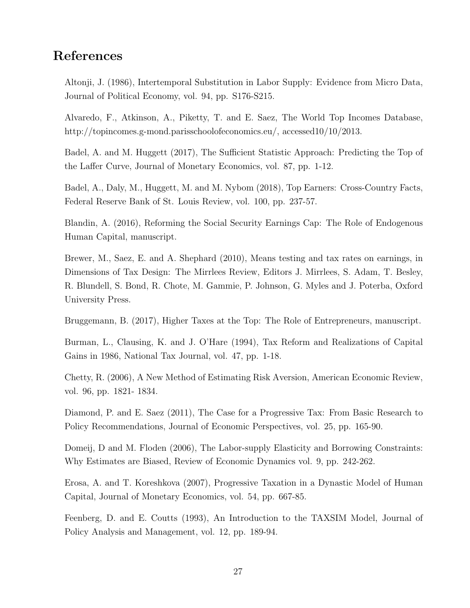# References

Altonji, J. (1986), Intertemporal Substitution in Labor Supply: Evidence from Micro Data, Journal of Political Economy, vol. 94, pp. S176-S215.

Alvaredo, F., Atkinson, A., Piketty, T. and E. Saez, The World Top Incomes Database, http://topincomes.g-mond.parisschoolofeconomics.eu/, accessed10/10/2013.

Badel, A. and M. Huggett (2017), The Sufficient Statistic Approach: Predicting the Top of the Laffer Curve, Journal of Monetary Economics, vol. 87, pp. 1-12.

Badel, A., Daly, M., Huggett, M. and M. Nybom (2018), Top Earners: Cross-Country Facts, Federal Reserve Bank of St. Louis Review, vol. 100, pp. 237-57.

Blandin, A. (2016), Reforming the Social Security Earnings Cap: The Role of Endogenous Human Capital, manuscript.

Brewer, M., Saez, E. and A. Shephard (2010), Means testing and tax rates on earnings, in Dimensions of Tax Design: The Mirrlees Review, Editors J. Mirrlees, S. Adam, T. Besley, R. Blundell, S. Bond, R. Chote, M. Gammie, P. Johnson, G. Myles and J. Poterba, Oxford University Press.

Bruggemann, B. (2017), Higher Taxes at the Top: The Role of Entrepreneurs, manuscript.

Burman, L., Clausing, K. and J. O'Hare (1994), Tax Reform and Realizations of Capital Gains in 1986, National Tax Journal, vol. 47, pp. 1-18.

Chetty, R. (2006), A New Method of Estimating Risk Aversion, American Economic Review, vol. 96, pp. 1821- 1834.

Diamond, P. and E. Saez (2011), The Case for a Progressive Tax: From Basic Research to Policy Recommendations, Journal of Economic Perspectives, vol. 25, pp. 165-90.

Domeij, D and M. Floden (2006), The Labor-supply Elasticity and Borrowing Constraints: Why Estimates are Biased, Review of Economic Dynamics vol. 9, pp. 242-262.

Erosa, A. and T. Koreshkova (2007), Progressive Taxation in a Dynastic Model of Human Capital, Journal of Monetary Economics, vol. 54, pp. 667-85.

Feenberg, D. and E. Coutts (1993), An Introduction to the TAXSIM Model, Journal of Policy Analysis and Management, vol. 12, pp. 189-94.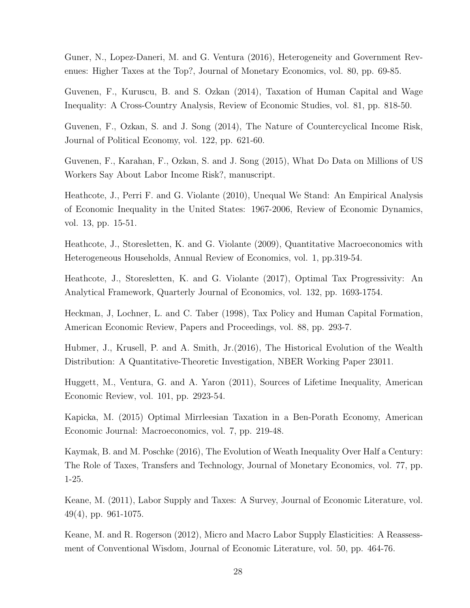Guner, N., Lopez-Daneri, M. and G. Ventura (2016), Heterogeneity and Government Revenues: Higher Taxes at the Top?, Journal of Monetary Economics, vol. 80, pp. 69-85.

Guvenen, F., Kuruscu, B. and S. Ozkan (2014), Taxation of Human Capital and Wage Inequality: A Cross-Country Analysis, Review of Economic Studies, vol. 81, pp. 818-50.

Guvenen, F., Ozkan, S. and J. Song (2014), The Nature of Countercyclical Income Risk, Journal of Political Economy, vol. 122, pp. 621-60.

Guvenen, F., Karahan, F., Ozkan, S. and J. Song (2015), What Do Data on Millions of US Workers Say About Labor Income Risk?, manuscript.

Heathcote, J., Perri F. and G. Violante (2010), Unequal We Stand: An Empirical Analysis of Economic Inequality in the United States: 1967-2006, Review of Economic Dynamics, vol. 13, pp. 15-51.

Heathcote, J., Storesletten, K. and G. Violante (2009), Quantitative Macroeconomics with Heterogeneous Households, Annual Review of Economics, vol. 1, pp.319-54.

Heathcote, J., Storesletten, K. and G. Violante (2017), Optimal Tax Progressivity: An Analytical Framework, Quarterly Journal of Economics, vol. 132, pp. 1693-1754.

Heckman, J, Lochner, L. and C. Taber (1998), Tax Policy and Human Capital Formation, American Economic Review, Papers and Proceedings, vol. 88, pp. 293-7.

Hubmer, J., Krusell, P. and A. Smith, Jr.(2016), The Historical Evolution of the Wealth Distribution: A Quantitative-Theoretic Investigation, NBER Working Paper 23011.

Huggett, M., Ventura, G. and A. Yaron (2011), Sources of Lifetime Inequality, American Economic Review, vol. 101, pp. 2923-54.

Kapicka, M. (2015) Optimal Mirrleesian Taxation in a Ben-Porath Economy, American Economic Journal: Macroeconomics, vol. 7, pp. 219-48.

Kaymak, B. and M. Poschke (2016), The Evolution of Weath Inequality Over Half a Century: The Role of Taxes, Transfers and Technology, Journal of Monetary Economics, vol. 77, pp. 1-25.

Keane, M. (2011), Labor Supply and Taxes: A Survey, Journal of Economic Literature, vol. 49(4), pp. 961-1075.

Keane, M. and R. Rogerson (2012), Micro and Macro Labor Supply Elasticities: A Reassessment of Conventional Wisdom, Journal of Economic Literature, vol. 50, pp. 464-76.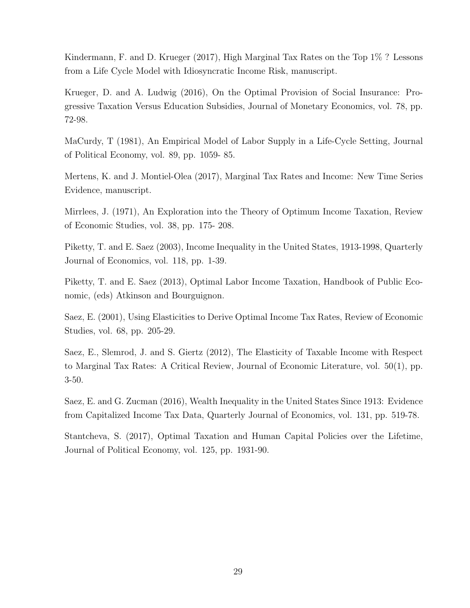Kindermann, F. and D. Krueger (2017), High Marginal Tax Rates on the Top 1% ? Lessons from a Life Cycle Model with Idiosyncratic Income Risk, manuscript.

Krueger, D. and A. Ludwig (2016), On the Optimal Provision of Social Insurance: Progressive Taxation Versus Education Subsidies, Journal of Monetary Economics, vol. 78, pp. 72-98.

MaCurdy, T (1981), An Empirical Model of Labor Supply in a Life-Cycle Setting, Journal of Political Economy, vol. 89, pp. 1059- 85.

Mertens, K. and J. Montiel-Olea (2017), Marginal Tax Rates and Income: New Time Series Evidence, manuscript.

Mirrlees, J. (1971), An Exploration into the Theory of Optimum Income Taxation, Review of Economic Studies, vol. 38, pp. 175- 208.

Piketty, T. and E. Saez (2003), Income Inequality in the United States, 1913-1998, Quarterly Journal of Economics, vol. 118, pp. 1-39.

Piketty, T. and E. Saez (2013), Optimal Labor Income Taxation, Handbook of Public Economic, (eds) Atkinson and Bourguignon.

Saez, E. (2001), Using Elasticities to Derive Optimal Income Tax Rates, Review of Economic Studies, vol. 68, pp. 205-29.

Saez, E., Slemrod, J. and S. Giertz (2012), The Elasticity of Taxable Income with Respect to Marginal Tax Rates: A Critical Review, Journal of Economic Literature, vol. 50(1), pp. 3-50.

Saez, E. and G. Zucman (2016), Wealth Inequality in the United States Since 1913: Evidence from Capitalized Income Tax Data, Quarterly Journal of Economics, vol. 131, pp. 519-78.

Stantcheva, S. (2017), Optimal Taxation and Human Capital Policies over the Lifetime, Journal of Political Economy, vol. 125, pp. 1931-90.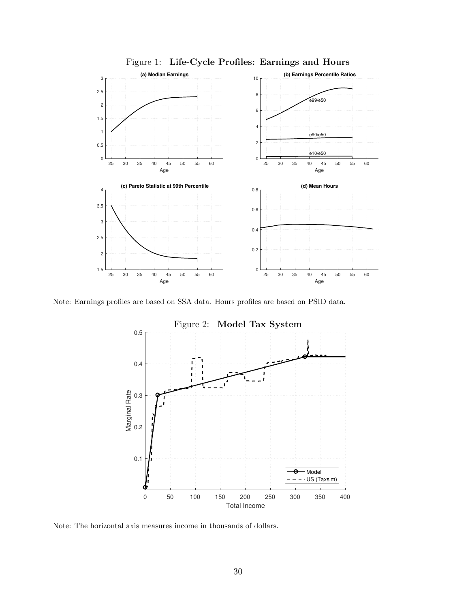

Figure 1: Life-Cycle Profiles: Earnings and Hours

Note: Earnings profiles are based on SSA data. Hours profiles are based on PSID data.



Figure 2: Model Tax System

Note: The horizontal axis measures income in thousands of dollars.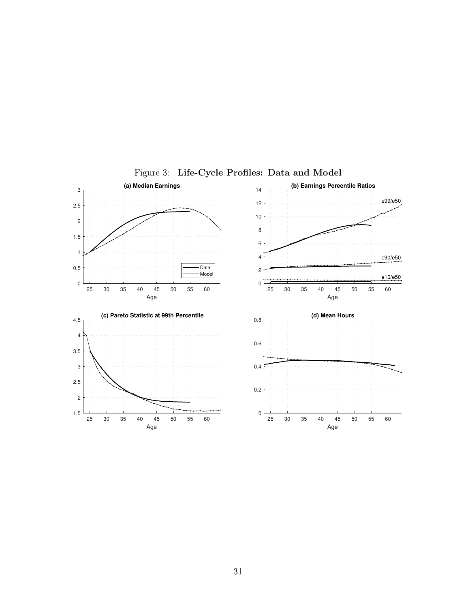

<span id="page-30-0"></span>Figure 3: Life-Cycle Profiles: Data and Model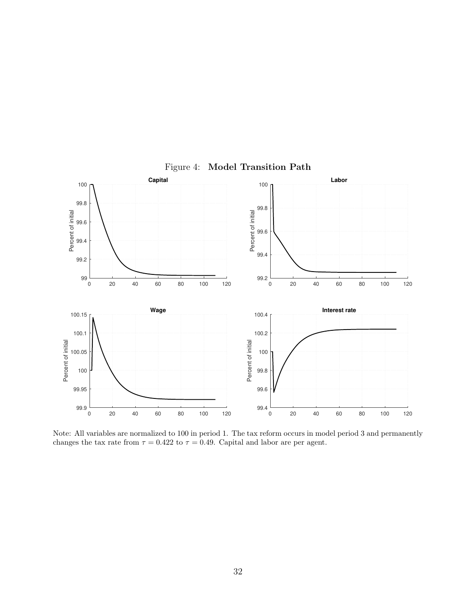

Figure 4: Model Transition Path

Note: All variables are normalized to 100 in period 1. The tax reform occurs in model period 3 and permanently changes the tax rate from  $\tau = 0.422$  to  $\tau = 0.49$ . Capital and labor are per agent.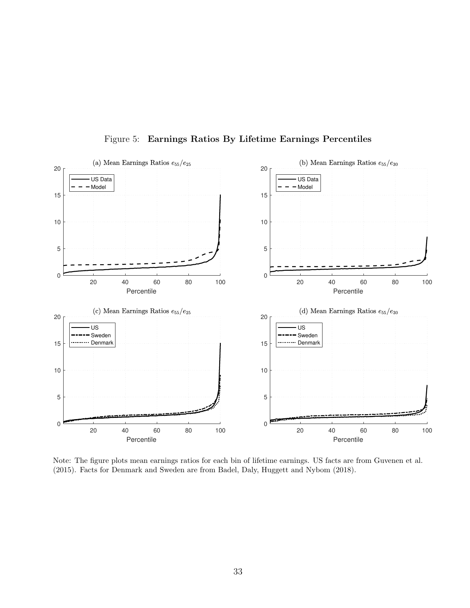

Figure 5: Earnings Ratios By Lifetime Earnings Percentiles

Note: The figure plots mean earnings ratios for each bin of lifetime earnings. US facts are from Guvenen et al. (2015). Facts for Denmark and Sweden are from Badel, Daly, Huggett and Nybom (2018).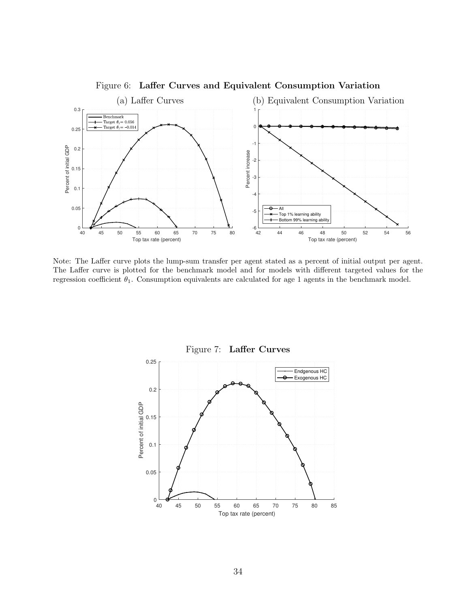

Figure 6: Laffer Curves and Equivalent Consumption Variation

Note: The Laffer curve plots the lump-sum transfer per agent stated as a percent of initial output per agent. The Laffer curve is plotted for the benchmark model and for models with different targeted values for the regression coefficient  $\theta_1$ . Consumption equivalents are calculated for age 1 agents in the benchmark model.



Figure 7: Laffer Curves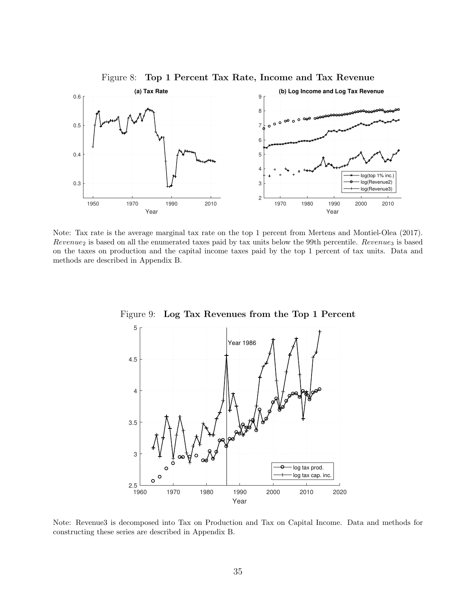

Figure 8: Top 1 Percent Tax Rate, Income and Tax Revenue

Note: Tax rate is the average marginal tax rate on the top 1 percent from Mertens and Montiel-Olea (2017).  $Revenue_2$  is based on all the enumerated taxes paid by tax units below the 99th percentile.  $Revenue_3$  is based on the taxes on production and the capital income taxes paid by the top 1 percent of tax units. Data and methods are described in Appendix B.



Figure 9: Log Tax Revenues from the Top 1 Percent

Note: Revenue3 is decomposed into Tax on Production and Tax on Capital Income. Data and methods for constructing these series are described in Appendix B.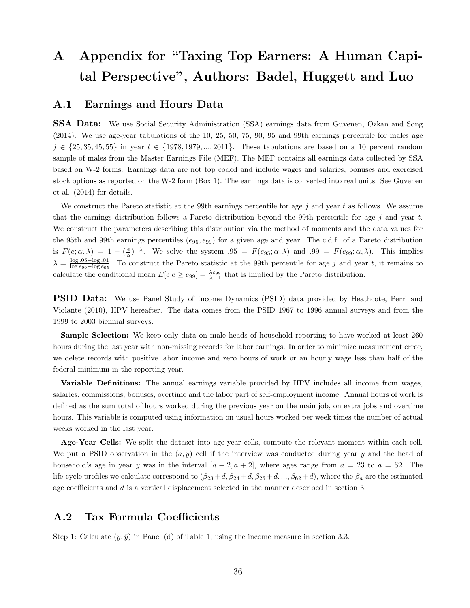# A Appendix for "Taxing Top Earners: A Human Capital Perspective", Authors: Badel, Huggett and Luo

#### A.1 Earnings and Hours Data

SSA Data: We use Social Security Administration (SSA) earnings data from Guvenen, Ozkan and Song (2014). We use age-year tabulations of the 10, 25, 50, 75, 90, 95 and 99th earnings percentile for males age  $j \in \{25, 35, 45, 55\}$  in year  $t \in \{1978, 1979, ..., 2011\}$ . These tabulations are based on a 10 percent random sample of males from the Master Earnings File (MEF). The MEF contains all earnings data collected by SSA based on W-2 forms. Earnings data are not top coded and include wages and salaries, bonuses and exercised stock options as reported on the W-2 form (Box 1). The earnings data is converted into real units. See Guvenen et al. (2014) for details.

We construct the Pareto statistic at the 99th earnings percentile for age j and year t as follows. We assume that the earnings distribution follows a Pareto distribution beyond the 99th percentile for age j and year  $t$ . We construct the parameters describing this distribution via the method of moments and the data values for the 95th and 99th earnings percentiles ( $e_{95}$ ,  $e_{99}$ ) for a given age and year. The c.d.f. of a Pareto distribution is  $F(e; \alpha, \lambda) = 1 - \left(\frac{e}{\alpha}\right)^{-\lambda}$ . We solve the system  $.95 = F(e_{95}; \alpha, \lambda)$  and  $.99 = F(e_{99}; \alpha, \lambda)$ . This implies  $\lambda = \frac{\log 0.05 - \log 0.01}{\log e_{99} - \log e_{95}}$ . To construct the Pareto statistic at the 99th percentile for age j and year t, it remains to calculate the conditional mean  $E[e|e \ge e_{99}] = \frac{\lambda e_{99}}{\lambda - 1}$  that is implied by the Pareto distribution.

**PSID Data:** We use Panel Study of Income Dynamics (PSID) data provided by Heathcote, Perri and Violante (2010), HPV hereafter. The data comes from the PSID 1967 to 1996 annual surveys and from the 1999 to 2003 biennial surveys.

Sample Selection: We keep only data on male heads of household reporting to have worked at least 260 hours during the last year with non-missing records for labor earnings. In order to minimize measurement error, we delete records with positive labor income and zero hours of work or an hourly wage less than half of the federal minimum in the reporting year.

Variable Definitions: The annual earnings variable provided by HPV includes all income from wages, salaries, commissions, bonuses, overtime and the labor part of self-employment income. Annual hours of work is defined as the sum total of hours worked during the previous year on the main job, on extra jobs and overtime hours. This variable is computed using information on usual hours worked per week times the number of actual weeks worked in the last year.

Age-Year Cells: We split the dataset into age-year cells, compute the relevant moment within each cell. We put a PSID observation in the  $(a, y)$  cell if the interview was conducted during year y and the head of household's age in year y was in the interval  $[a - 2, a + 2]$ , where ages range from  $a = 23$  to  $a = 62$ . The life-cycle profiles we calculate correspond to  $(\beta_{23}+d, \beta_{24}+d, \beta_{25}+d, ..., \beta_{62}+d)$ , where the  $\beta_a$  are the estimated age coefficients and d is a vertical displacement selected in the manner described in section 3.

# A.2 Tax Formula Coefficients

Step 1: Calculate  $(y, \bar{y})$  in Panel (d) of Table 1, using the income measure in section 3.3.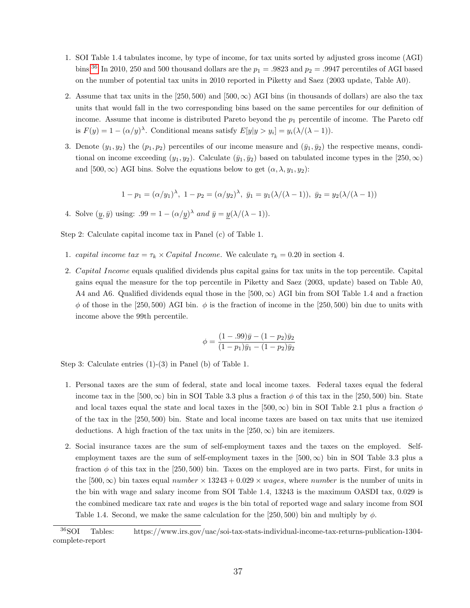- 1. SOI Table 1.4 tabulates income, by type of income, for tax units sorted by adjusted gross income (AGI) bins.<sup>[36](#page-0-0)</sup> In 2010, 250 and 500 thousand dollars are the  $p_1 = .9823$  and  $p_2 = .9947$  percentiles of AGI based on the number of potential tax units in 2010 reported in Piketty and Saez (2003 update, Table A0).
- 2. Assume that tax units in the [250, 500) and [500,  $\infty$ ) AGI bins (in thousands of dollars) are also the tax units that would fall in the two corresponding bins based on the same percentiles for our definition of income. Assume that income is distributed Pareto beyond the  $p_1$  percentile of income. The Pareto cdf is  $F(y) = 1 - (\alpha/y)^{\lambda}$ . Conditional means satisfy  $E[y|y > y_i] = y_i(\lambda/(\lambda - 1)).$
- 3. Denote  $(y_1, y_2)$  the  $(p_1, p_2)$  percentiles of our income measure and  $(\bar{y}_1, \bar{y}_2)$  the respective means, conditional on income exceeding  $(y_1, y_2)$ . Calculate  $(\bar{y}_1, \bar{y}_2)$  based on tabulated income types in the [250,  $\infty$ ) and [500,  $\infty$ ) AGI bins. Solve the equations below to get  $(\alpha, \lambda, y_1, y_2)$ :

$$
1 - p_1 = (\alpha/y_1)^{\lambda}, \ 1 - p_2 = (\alpha/y_2)^{\lambda}, \ \bar{y}_1 = y_1(\lambda/(\lambda - 1)), \ \bar{y}_2 = y_2(\lambda/(\lambda - 1))
$$

4. Solve  $(y, \bar{y})$  using:  $.99 = 1 - (\alpha/y)^{\lambda}$  and  $\bar{y} = y(\lambda/(\lambda - 1)).$ 

Step 2: Calculate capital income tax in Panel (c) of Table 1.

- 1. capital income tax =  $\tau_k \times Capital\ Income$ . We calculate  $\tau_k = 0.20$  in section 4.
- 2. Capital Income equals qualified dividends plus capital gains for tax units in the top percentile. Capital gains equal the measure for the top percentile in Piketty and Saez (2003, update) based on Table A0, A4 and A6. Qualified dividends equal those in the  $[500, \infty)$  AGI bin from SOI Table 1.4 and a fraction  $\phi$  of those in the [250, 500) AGI bin.  $\phi$  is the fraction of income in the [250, 500) bin due to units with income above the 99th percentile.

$$
\phi = \frac{(1 - .99)\bar{y} - (1 - p_2)\bar{y}_2}{(1 - p_1)\bar{y}_1 - (1 - p_2)\bar{y}_2}
$$

Step 3: Calculate entries (1)-(3) in Panel (b) of Table 1.

- 1. Personal taxes are the sum of federal, state and local income taxes. Federal taxes equal the federal income tax in the [500,  $\infty$ ) bin in SOI Table 3.3 plus a fraction  $\phi$  of this tax in the [250, 500) bin. State and local taxes equal the state and local taxes in the [500,  $\infty$ ) bin in SOI Table 2.1 plus a fraction  $\phi$ of the tax in the [250, 500) bin. State and local income taxes are based on tax units that use itemized deductions. A high fraction of the tax units in the  $[250, \infty)$  bin are itemizers.
- 2. Social insurance taxes are the sum of self-employment taxes and the taxes on the employed. Selfemployment taxes are the sum of self-employment taxes in the  $(500, \infty)$  bin in SOI Table 3.3 plus a fraction  $\phi$  of this tax in the [250, 500) bin. Taxes on the employed are in two parts. First, for units in the [500,  $\infty$ ) bin taxes equal number  $\times$  13243 + 0.029  $\times$  wages, where number is the number of units in the bin with wage and salary income from SOI Table 1.4, 13243 is the maximum OASDI tax, 0.029 is the combined medicare tax rate and wages is the bin total of reported wage and salary income from SOI Table 1.4. Second, we make the same calculation for the [250, 500) bin and multiply by  $\phi$ .

<sup>36</sup>SOI Tables: https://www.irs.gov/uac/soi-tax-stats-individual-income-tax-returns-publication-1304 complete-report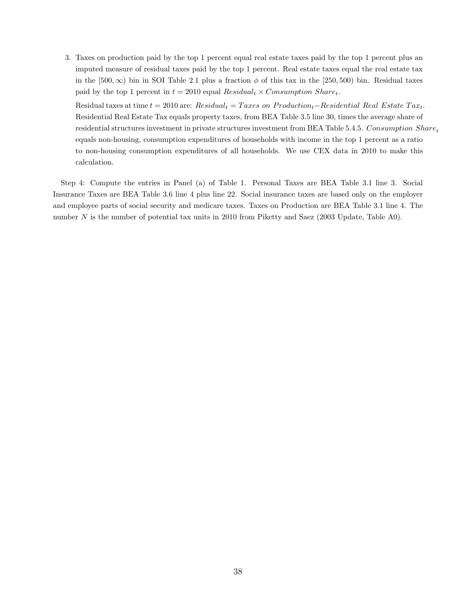3. Taxes on production paid by the top 1 percent equal real estate taxes paid by the top 1 percent plus an imputed measure of residual taxes paid by the top 1 percent. Real estate taxes equal the real estate tax in the [500,  $\infty$ ) bin in SOI Table 2.1 plus a fraction  $\phi$  of this tax in the [250, 500) bin. Residual taxes paid by the top 1 percent in  $t = 2010$  equal  $Residual_t \times Consumption~Share_t$ .

Residual taxes at time  $t = 2010$  are:  $Residual_t = Taxes$  on  $Production_t - Residental$  Real Estate  $Tax_t$ . Residential Real Estate Tax equals property taxes, from BEA Table 3.5 line 30, times the average share of residential structures investment in private structures investment from BEA Table 5.4.5. Consumption  $Share_t$ equals non-housing, consumption expenditures of households with income in the top 1 percent as a ratio to non-housing consumption expenditures of all households. We use CEX data in 2010 to make this calculation.

Step 4: Compute the entries in Panel (a) of Table 1. Personal Taxes are BEA Table 3.1 line 3. Social Insurance Taxes are BEA Table 3.6 line 4 plus line 22. Social insurance taxes are based only on the employer and employee parts of social security and medicare taxes. Taxes on Production are BEA Table 3.1 line 4. The number N is the number of potential tax units in 2010 from Piketty and Saez (2003 Update, Table A0).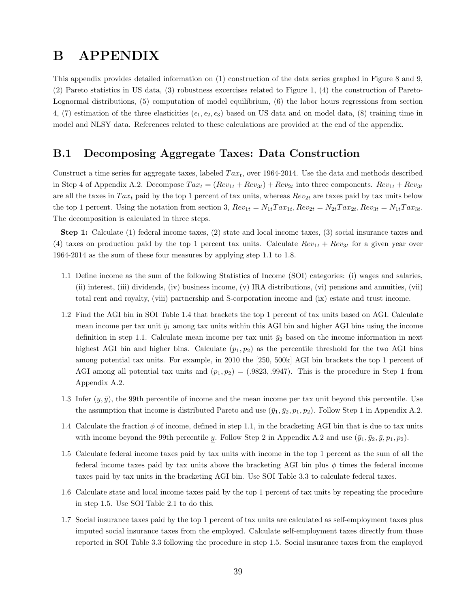# B APPENDIX

This appendix provides detailed information on (1) construction of the data series graphed in Figure 8 and 9, (2) Pareto statistics in US data, (3) robustness excercises related to Figure 1, (4) the construction of Pareto-Lognormal distributions, (5) computation of model equilibrium, (6) the labor hours regressions from section 4, (7) estimation of the three elasticities ( $\epsilon_1, \epsilon_2, \epsilon_3$ ) based on US data and on model data, (8) training time in model and NLSY data. References related to these calculations are provided at the end of the appendix.

# B.1 Decomposing Aggregate Taxes: Data Construction

Construct a time series for aggregate taxes, labeled  $Tax_t$ , over 1964-2014. Use the data and methods described in Step 4 of Appendix A.2. Decompose  $Tax_t = (Rev_{1t} + Rev_{3t}) + Rev_{2t}$  into three components.  $Rev_{1t} + Rev_{3t}$ are all the taxes in  $Tax_t$  paid by the top 1 percent of tax units, whereas  $Rev_{2t}$  are taxes paid by tax units below the top 1 percent. Using the notation from section 3,  $Rev_{1t} = N_{1t} Tax_{1t}$ ,  $Rev_{2t} = N_{2t} Tax_{2t}$ ,  $Rev_{3t} = N_{1t} Tax_{3t}$ . The decomposition is calculated in three steps.

Step 1: Calculate (1) federal income taxes, (2) state and local income taxes, (3) social insurance taxes and (4) taxes on production paid by the top 1 percent tax units. Calculate  $Rev_{1t} + Rev_{3t}$  for a given year over 1964-2014 as the sum of these four measures by applying step 1.1 to 1.8.

- 1.1 Define income as the sum of the following Statistics of Income (SOI) categories: (i) wages and salaries, (ii) interest, (iii) dividends, (iv) business income, (v) IRA distributions, (vi) pensions and annuities, (vii) total rent and royalty, (viii) partnership and S-corporation income and (ix) estate and trust income.
- 1.2 Find the AGI bin in SOI Table 1.4 that brackets the top 1 percent of tax units based on AGI. Calculate mean income per tax unit  $\bar{y}_1$  among tax units within this AGI bin and higher AGI bins using the income definition in step 1.1. Calculate mean income per tax unit  $\bar{y}_2$  based on the income information in next highest AGI bin and higher bins. Calculate  $(p_1, p_2)$  as the percentile threshold for the two AGI bins among potential tax units. For example, in 2010 the [250, 500k] AGI bin brackets the top 1 percent of AGI among all potential tax units and  $(p_1, p_2) = (0.9823, 0.9947)$ . This is the procedure in Step 1 from Appendix A.2.
- 1.3 Infer  $(y, \bar{y})$ , the 99th percentile of income and the mean income per tax unit beyond this percentile. Use the assumption that income is distributed Pareto and use  $(\bar{y}_1, \bar{y}_2, p_1, p_2)$ . Follow Step 1 in Appendix A.2.
- 1.4 Calculate the fraction  $\phi$  of income, defined in step 1.1, in the bracketing AGI bin that is due to tax units with income beyond the 99th percentile y. Follow Step 2 in Appendix A.2 and use  $(\bar{y}_1, \bar{y}_2, \bar{y}, p_1, p_2)$ .
- 1.5 Calculate federal income taxes paid by tax units with income in the top 1 percent as the sum of all the federal income taxes paid by tax units above the bracketing AGI bin plus  $\phi$  times the federal income taxes paid by tax units in the bracketing AGI bin. Use SOI Table 3.3 to calculate federal taxes.
- 1.6 Calculate state and local income taxes paid by the top 1 percent of tax units by repeating the procedure in step 1.5. Use SOI Table 2.1 to do this.
- 1.7 Social insurance taxes paid by the top 1 percent of tax units are calculated as self-employment taxes plus imputed social insurance taxes from the employed. Calculate self-employment taxes directly from those reported in SOI Table 3.3 following the procedure in step 1.5. Social insurance taxes from the employed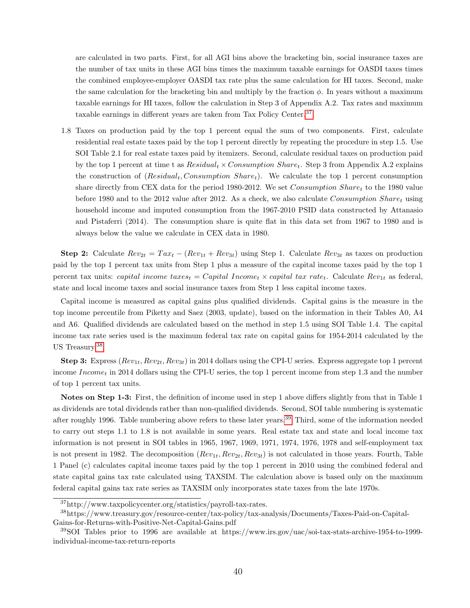are calculated in two parts. First, for all AGI bins above the bracketing bin, social insurance taxes are the number of tax units in these AGI bins times the maximum taxable earnings for OASDI taxes times the combined employee-employer OASDI tax rate plus the same calculation for HI taxes. Second, make the same calculation for the bracketing bin and multiply by the fraction  $\phi$ . In years without a maximum taxable earnings for HI taxes, follow the calculation in Step 3 of Appendix A.2. Tax rates and maximum taxable earnings in different years are taken from Tax Policy Center.[37](#page-0-0)

1.8 Taxes on production paid by the top 1 percent equal the sum of two components. First, calculate residential real estate taxes paid by the top 1 percent directly by repeating the procedure in step 1.5. Use SOI Table 2.1 for real estate taxes paid by itemizers. Second, calculate residual taxes on production paid by the top 1 percent at time t as  $Residual_t \times Consumption~Share_t$ . Step 3 from Appendix A.2 explains the construction of  $(Residual_t, Consumption\,Share_t)$ . We calculate the top 1 percent consumption share directly from CEX data for the period 1980-2012. We set Consumption Sharet to the 1980 value before 1980 and to the 2012 value after 2012. As a check, we also calculate Consumption Sharet using household income and imputed consumption from the 1967-2010 PSID data constructed by Attanasio and Pistaferri (2014). The consumption share is quite flat in this data set from 1967 to 1980 and is always below the value we calculate in CEX data in 1980.

**Step 2:** Calculate  $Rev_{2t} = Tax_t - (Rev_{1t} + Rev_{3t})$  using Step 1. Calculate  $Rev_{3t}$  as taxes on production paid by the top 1 percent tax units from Step 1 plus a measure of the capital income taxes paid by the top 1 percent tax units: capital income taxes<sub>t</sub> = Capital Income<sub>t</sub> × capital tax rate<sub>t</sub>. Calculate  $Rev_{1t}$  as federal, state and local income taxes and social insurance taxes from Step 1 less capital income taxes.

Capital income is measured as capital gains plus qualified dividends. Capital gains is the measure in the top income percentile from Piketty and Saez (2003, update), based on the information in their Tables A0, A4 and A6. Qualified dividends are calculated based on the method in step 1.5 using SOI Table 1.4. The capital income tax rate series used is the maximum federal tax rate on capital gains for 1954-2014 calculated by the US Treasury.[38](#page-0-0)

**Step 3:** Express  $(Rev_{1t}, Rev_{2t}, Rev_{3t})$  in 2014 dollars using the CPI-U series. Express aggregate top 1 percent income  $Income_t$  in 2014 dollars using the CPI-U series, the top 1 percent income from step 1.3 and the number of top 1 percent tax units.

Notes on Step 1-3: First, the definition of income used in step 1 above differs slightly from that in Table 1 as dividends are total dividends rather than non-qualified dividends. Second, SOI table numbering is systematic after roughly 1996. Table numbering above refers to these later years.[39](#page-0-0) Third, some of the information needed to carry out steps 1.1 to 1.8 is not available in some years. Real estate tax and state and local income tax information is not present in SOI tables in 1965, 1967, 1969, 1971, 1974, 1976, 1978 and self-employment tax is not present in 1982. The decomposition  $(Rev_{1t}, Rev_{2t}, Rev_{3t})$  is not calculated in those years. Fourth, Table 1 Panel (c) calculates capital income taxes paid by the top 1 percent in 2010 using the combined federal and state capital gains tax rate calculated using TAXSIM. The calculation above is based only on the maximum federal capital gains tax rate series as TAXSIM only incorporates state taxes from the late 1970s.

<sup>37</sup>http://www.taxpolicycenter.org/statistics/payroll-tax-rates.

<sup>38</sup>https://www.treasury.gov/resource-center/tax-policy/tax-analysis/Documents/Taxes-Paid-on-Capital-Gains-for-Returns-with-Positive-Net-Capital-Gains.pdf

<sup>39</sup>SOI Tables prior to 1996 are available at https://www.irs.gov/uac/soi-tax-stats-archive-1954-to-1999 individual-income-tax-return-reports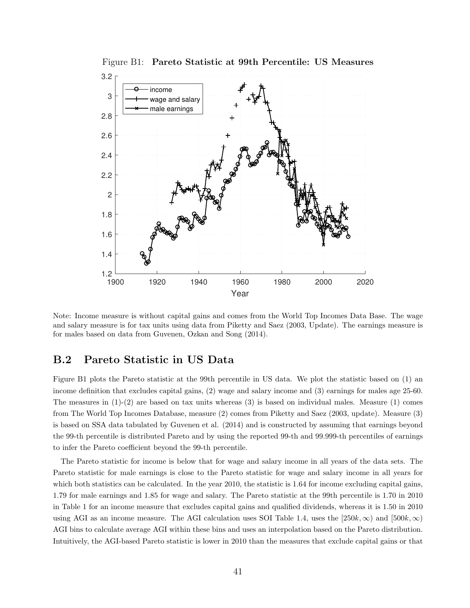

Figure B1: Pareto Statistic at 99th Percentile: US Measures

Note: Income measure is without capital gains and comes from the World Top Incomes Data Base. The wage and salary measure is for tax units using data from Piketty and Saez (2003, Update). The earnings measure is for males based on data from Guvenen, Ozkan and Song (2014).

### B.2 Pareto Statistic in US Data

Figure B1 plots the Pareto statistic at the 99th percentile in US data. We plot the statistic based on (1) an income definition that excludes capital gains, (2) wage and salary income and (3) earnings for males age 25-60. The measures in  $(1)-(2)$  are based on tax units whereas  $(3)$  is based on individual males. Measure  $(1)$  comes from The World Top Incomes Database, measure (2) comes from Piketty and Saez (2003, update). Measure (3) is based on SSA data tabulated by Guvenen et al. (2014) and is constructed by assuming that earnings beyond the 99-th percentile is distributed Pareto and by using the reported 99-th and 99.999-th percentiles of earnings to infer the Pareto coefficient beyond the 99-th percentile.

The Pareto statistic for income is below that for wage and salary income in all years of the data sets. The Pareto statistic for male earnings is close to the Pareto statistic for wage and salary income in all years for which both statistics can be calculated. In the year 2010, the statistic is 1.64 for income excluding capital gains, 1.79 for male earnings and 1.85 for wage and salary. The Pareto statistic at the 99th percentile is 1.70 in 2010 in Table 1 for an income measure that excludes capital gains and qualified dividends, whereas it is 1.50 in 2010 using AGI as an income measure. The AGI calculation uses SOI Table 1.4, uses the  $[250k, \infty)$  and  $[500k, \infty)$ AGI bins to calculate average AGI within these bins and uses an interpolation based on the Pareto distribution. Intuitively, the AGI-based Pareto statistic is lower in 2010 than the measures that exclude capital gains or that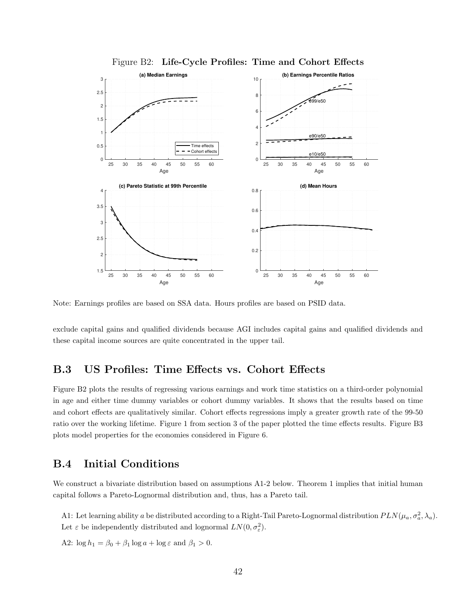

Figure B2: Life-Cycle Profiles: Time and Cohort Effects

Note: Earnings profiles are based on SSA data. Hours profiles are based on PSID data.

exclude capital gains and qualified dividends because AGI includes capital gains and qualified dividends and these capital income sources are quite concentrated in the upper tail.

### B.3 US Profiles: Time Effects vs. Cohort Effects

Figure B2 plots the results of regressing various earnings and work time statistics on a third-order polynomial in age and either time dummy variables or cohort dummy variables. It shows that the results based on time and cohort effects are qualitatively similar. Cohort effects regressions imply a greater growth rate of the 99-50 ratio over the working lifetime. Figure 1 from section 3 of the paper plotted the time effects results. Figure B3 plots model properties for the economies considered in Figure 6.

# B.4 Initial Conditions

We construct a bivariate distribution based on assumptions A1-2 below. Theorem 1 implies that initial human capital follows a Pareto-Lognormal distribution and, thus, has a Pareto tail.

A1: Let learning ability a be distributed according to a Right-Tail Pareto-Lognormal distribution  $PLN(\mu_a, \sigma_a^2, \lambda_a)$ . Let  $\varepsilon$  be independently distributed and lognormal  $LN(0, \sigma_{\varepsilon}^2)$ .

A2:  $\log h_1 = \beta_0 + \beta_1 \log a + \log \varepsilon$  and  $\beta_1 > 0$ .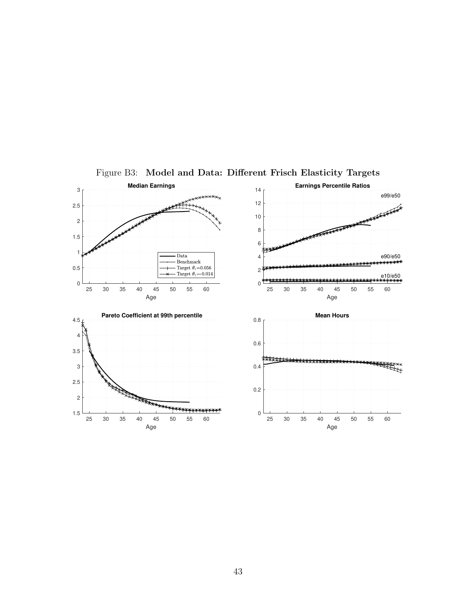

Figure B3: Model and Data: Different Frisch Elasticity Targets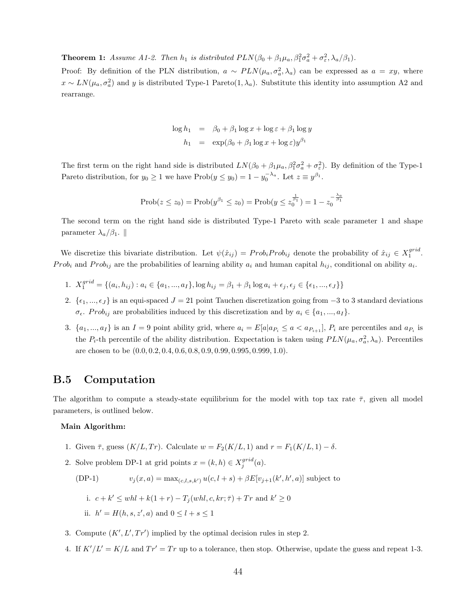**Theorem 1:** Assume A1-2. Then  $h_1$  is distributed  $PLN(\beta_0 + \beta_1 \mu_a, \beta_1^2 \sigma_a^2 + \sigma_{\varepsilon}^2, \lambda_a/\beta_1)$ .

Proof: By definition of the PLN distribution,  $a \sim PLN(\mu_a, \sigma_a^2, \lambda_a)$  can be expressed as  $a = xy$ , where  $x \sim LN(\mu_a, \sigma_a^2)$  and y is distributed Type-1 Pareto(1,  $\lambda_a$ ). Substitute this identity into assumption A2 and rearrange.

$$
\log h_1 = \beta_0 + \beta_1 \log x + \log \varepsilon + \beta_1 \log y
$$
  

$$
h_1 = \exp(\beta_0 + \beta_1 \log x + \log \varepsilon) y^{\beta_1}
$$

The first term on the right hand side is distributed  $LN(\beta_0 + \beta_1\mu_a, \beta_1^2\sigma_a^2 + \sigma_{\varepsilon}^2)$ . By definition of the Type-1 Pareto distribution, for  $y_0 \ge 1$  we have  $\text{Prob}(y \le y_0) = 1 - y_0^{-\lambda_a}$ . Let  $z \equiv y^{\beta_1}$ .

$$
Prob(z \le z_0) = Prob(y^{\beta_1} \le z_0) = Prob(y \le z_0^{\frac{1}{\beta_1}}) = 1 - z_0^{-\frac{\lambda_a}{\beta_1}}
$$

The second term on the right hand side is distributed Type-1 Pareto with scale parameter 1 and shape parameter  $\lambda_a/\beta_1$ . ||

We discretize this bivariate distribution. Let  $\psi(\hat{x}_{ij}) = Prob_i Prob_{ij}$  denote the probability of  $\hat{x}_{ij} \in X_1^{grid}$ . Prob<sub>i</sub> and Prob<sub>ij</sub> are the probabilities of learning ability  $a_i$  and human capital  $h_{ij}$ , conditional on ability  $a_i$ .

- 1.  $X_1^{grid} = \{(a_i, h_{ij}) : a_i \in \{a_1, ..., a_I\}, \log h_{ij} = \beta_1 + \beta_1 \log a_i + \epsilon_j, \epsilon_j \in \{\epsilon_1, ..., \epsilon_J\}\}\$
- 2.  $\{\epsilon_1, ..., \epsilon_J\}$  is an equi-spaced  $J = 21$  point Tauchen discretization going from  $-3$  to 3 standard deviations  $\sigma_{\epsilon}$ . Prob<sub>ij</sub> are probabilities induced by this discretization and by  $a_i \in \{a_1, ..., a_I\}$ .
- 3.  $\{a_1, ..., a_I\}$  is an  $I = 9$  point ability grid, where  $a_i = E[a|a_{P_i} \le a < a_{P_{i+1}}]$ ,  $P_i$  are percentiles and  $a_{P_i}$  is the  $P_i$ -th percentile of the ability distribution. Expectation is taken using  $PLN(\mu_a, \sigma_a^2, \lambda_a)$ . Percentiles are chosen to be (0.0, 0.2, 0.4, 0.6, 0.8, 0.9, 0.99, 0.995, 0.999, 1.0).

# B.5 Computation

The algorithm to compute a steady-state equilibrium for the model with top tax rate  $\bar{\tau}$ , given all model parameters, is outlined below.

#### Main Algorithm:

- 1. Given  $\bar{\tau}$ , guess  $(K/L, Tr)$ . Calculate  $w = F_2(K/L, 1)$  and  $r = F_1(K/L, 1) \delta$ .
- 2. Solve problem DP-1 at grid points  $x = (k, h) \in X_j^{grid}(a)$ .

$$
(DP-1) \t v_j(x,a) = \max_{(c,l,s,k')} u(c,l+s) + \beta E[v_{j+1}(k',h',a)]
$$
 subject to  
i.  $c+k' \le whl + k(1+r) - T_j (whl, c, kr; \bar{\tau}) + Tr$  and  $k' \ge 0$   
ii.  $h' = H(h, s, z', a)$  and  $0 \le l + s \le 1$ 

- 3. Compute  $(K', L', Tr')$  implied by the optimal decision rules in step 2.
- 4. If  $K'/L' = K/L$  and  $Tr' = Tr$  up to a tolerance, then stop. Otherwise, update the guess and repeat 1-3.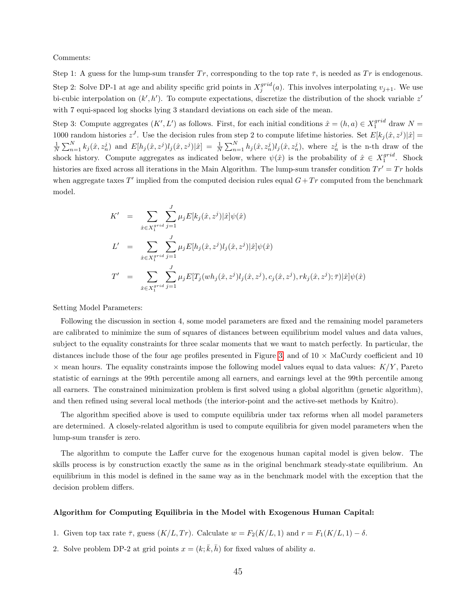Comments:

Step 1: A guess for the lump-sum transfer Tr, corresponding to the top rate  $\bar{\tau}$ , is needed as Tr is endogenous. Step 2: Solve DP-1 at age and ability specific grid points in  $X_j^{grid}(a)$ . This involves interpolating  $v_{j+1}$ . We use bi-cubic interpolation on  $(k', h')$ . To compute expectations, discretize the distribution of the shock variable  $z'$ with 7 equi-spaced log shocks lying 3 standard deviations on each side of the mean.

Step 3: Compute aggregates  $(K', L')$  as follows. First, for each initial conditions  $\hat{x} = (h, a) \in X_1^{grid}$  draw  $N =$ 1000 random histories  $z^J$ . Use the decision rules from step 2 to compute lifetime histories. Set  $E[k_j(\hat{x}, z^j)|\hat{x}] =$  $\frac{1}{N}\sum_{n=1}^N k_j(\hat{x}, z_n^j)$  and  $E[h_j(\hat{x}, z^j)|j(\hat{x}, z^j)|\hat{x}] = \frac{1}{N}\sum_{n=1}^N h_j(\hat{x}, z_n^j)l_j(\hat{x}, z_n^j)$ , where  $z_n^j$  is the n-th draw of the shock history. Compute aggregates as indicated below, where  $\psi(\hat{x})$  is the probability of  $\hat{x} \in X_1^{grid}$ . Shock histories are fixed across all iterations in the Main Algorithm. The lump-sum transfer condition  $Tr' = Tr$  holds when aggregate taxes  $T'$  implied from the computed decision rules equal  $G+Tr$  computed from the benchmark model.

$$
K' = \sum_{\hat{x} \in X_1^{grid}} \sum_{j=1}^{J} \mu_j E[k_j(\hat{x}, z^j) | \hat{x}] \psi(\hat{x})
$$
  
\n
$$
L' = \sum_{\hat{x} \in X_1^{grid}} \sum_{j=1}^{J} \mu_j E[h_j(\hat{x}, z^j) l_j(\hat{x}, z^j) | \hat{x}] \psi(\hat{x})
$$
  
\n
$$
T' = \sum_{\hat{x} \in X_1^{grid}} \sum_{j=1}^{J} \mu_j E[T_j(wh_j(\hat{x}, z^j) l_j(\hat{x}, z^j), c_j(\hat{x}, z^j), rk_j(\hat{x}, z^j); \bar{\tau}) | \hat{x}] \psi(\hat{x})
$$

Setting Model Parameters:

Following the discussion in section 4, some model parameters are fixed and the remaining model parameters are calibrated to minimize the sum of squares of distances between equilibrium model values and data values, subject to the equality constraints for three scalar moments that we want to match perfectly. In particular, the distances include those of the four age profiles presented in Figure [3,](#page-30-0) and of  $10 \times$  MaCurdy coefficient and 10  $\times$  mean hours. The equality constraints impose the following model values equal to data values:  $K/Y$ , Pareto statistic of earnings at the 99th percentile among all earners, and earnings level at the 99th percentile among all earners. The constrained minimization problem is first solved using a global algorithm (genetic algorithm), and then refined using several local methods (the interior-point and the active-set methods by Knitro).

The algorithm specified above is used to compute equilibria under tax reforms when all model parameters are determined. A closely-related algorithm is used to compute equilibria for given model parameters when the lump-sum transfer is zero.

The algorithm to compute the Laffer curve for the exogenous human capital model is given below. The skills process is by construction exactly the same as in the original benchmark steady-state equilibrium. An equilibrium in this model is defined in the same way as in the benchmark model with the exception that the decision problem differs.

#### Algorithm for Computing Equilibria in the Model with Exogenous Human Capital:

- 1. Given top tax rate  $\bar{\tau}$ , guess  $(K/L, Tr)$ . Calculate  $w = F_2(K/L, 1)$  and  $r = F_1(K/L, 1) \delta$ .
- 2. Solve problem DP-2 at grid points  $x = (k; \bar{k}, \bar{h})$  for fixed values of ability a.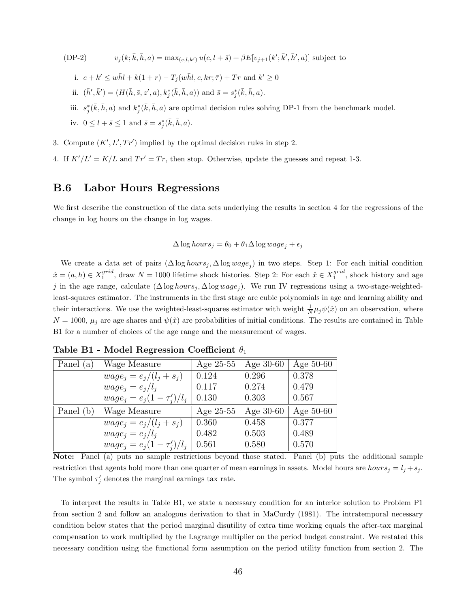- $(DP-2)$  $(\bar{k}, \bar{h}, a) = \max_{(c, l, k')} u(c, l + \bar{s}) + \beta E[v_{j+1}(k'; \bar{k}', \bar{h}', a)]$  subject to
	- i.  $c + k' \leq w\bar{h}l + k(1+r) T_j(w\bar{h}l, c, kr; \bar{\tau}) + Tr$  and  $k' \geq 0$
	- ii.  $(\bar{h}', \bar{k}') = (H(\bar{h}, \bar{s}, z', a), k_j^*(\bar{k}, \bar{h}, a))$  and  $\bar{s} = s_j^*(\bar{k}, \bar{h}, a)$ .
	- iii.  $s_j^*(\bar{k}, \bar{h}, a)$  and  $k_j^*(\bar{k}, \bar{h}, a)$  are optimal decision rules solving DP-1 from the benchmark model.

iv.  $0 \leq l + \bar{s} \leq 1$  and  $\bar{s} = s_j^*(\bar{k}, \bar{h}, a)$ .

- 3. Compute  $(K', L', Tr')$  implied by the optimal decision rules in step 2.
- 4. If  $K'/L' = K/L$  and  $Tr' = Tr$ , then stop. Otherwise, update the guesses and repeat 1-3.

# B.6 Labor Hours Regressions

We first describe the construction of the data sets underlying the results in section 4 for the regressions of the change in log hours on the change in log wages.

$$
\Delta \log hours_j = \theta_0 + \theta_1 \Delta \log wage_j + \epsilon_j
$$

We create a data set of pairs  $(\Delta \log hours_j, \Delta \log wage_j)$  in two steps. Step 1: For each initial condition  $\hat{x} = (a, h) \in X_1^{grid}$ , draw  $N = 1000$  lifetime shock histories. Step 2: For each  $\hat{x} \in X_1^{grid}$ , shock history and age j in the age range, calculate  $(\Delta \log hours_j, \Delta \log wage_j)$ . We run IV regressions using a two-stage-weightedleast-squares estimator. The instruments in the first stage are cubic polynomials in age and learning ability and their interactions. We use the weighted-least-squares estimator with weight  $\frac{1}{N}\mu_j\psi(\hat{x})$  on an observation, where  $N = 1000$ ,  $\mu_j$  are age shares and  $\psi(\hat{x})$  are probabilities of initial conditions. The results are contained in Table B1 for a number of choices of the age range and the measurement of wages.

| Panel (a) | Wage Measure                    | Age $25-55$ | Age $30-60$ | Age $50-60$ |
|-----------|---------------------------------|-------------|-------------|-------------|
|           | $wage_j = e_j/(l_j + s_j)$      | 0.124       | 0.296       | 0.378       |
|           | $wage_i = e_i/l_i$              | 0.117       | 0.274       | 0.479       |
|           | $wage_i = e_i(1 - \tau'_i)/l_i$ | 0.130       | 0.303       | 0.567       |
| Panel (b) | Wage Measure                    | Age $25-55$ | Age $30-60$ | Age 50-60   |
|           | $wage_j = e_j/(l_j + s_j)$      | 0.360       | 0.458       | 0.377       |
|           | $wage_i = e_i/l_i$              | 0.482       | 0.503       | 0.489       |
|           | $wage_i = e_i(1 - \tau'_i)/l_i$ | 0.561       | 0.580       | 0.570       |

Table B1 - Model Regression Coefficient  $\theta_1$ 

Note: Panel (a) puts no sample restrictions beyond those stated. Panel (b) puts the additional sample restriction that agents hold more than one quarter of mean earnings in assets. Model hours are  $hours_j = l_j + s_j$ . The symbol  $\tau'_j$  denotes the marginal earnings tax rate.

To interpret the results in Table B1, we state a necessary condition for an interior solution to Problem P1 from section 2 and follow an analogous derivation to that in MaCurdy (1981). The intratemporal necessary condition below states that the period marginal disutility of extra time working equals the after-tax marginal compensation to work multiplied by the Lagrange multiplier on the period budget constraint. We restated this necessary condition using the functional form assumption on the period utility function from section 2. The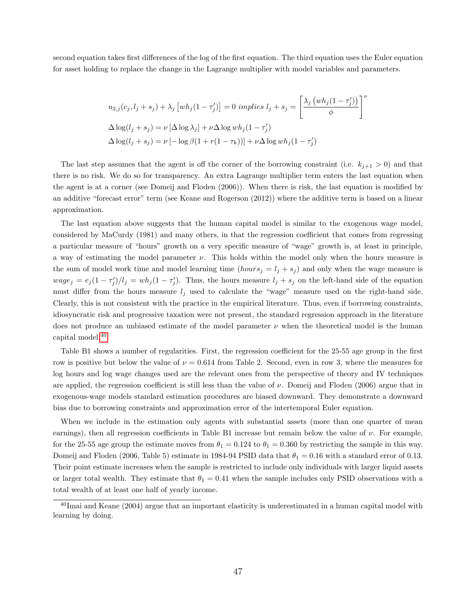second equation takes first differences of the log of the first equation. The third equation uses the Euler equation for asset holding to replace the change in the Lagrange multiplier with model variables and parameters.

$$
u_{2,j}(c_j, l_j + s_j) + \lambda_j \left[ wh_j(1 - \tau'_j) \right] = 0 \implies l_j + s_j = \left[ \frac{\lambda_j \left( wh_j(1 - \tau'_j) \right)}{\phi} \right]^{\nu}
$$

$$
\Delta \log(l_j + s_j) = \nu \left[ \Delta \log \lambda_j \right] + \nu \Delta \log wh_j(1 - \tau'_j)
$$

$$
\Delta \log(l_j + s_j) = \nu \left[ -\log \beta (1 + r(1 - \tau_k)) \right] + \nu \Delta \log wh_j(1 - \tau'_j)
$$

The last step assumes that the agent is off the corner of the borrowing constraint (i.e.  $k_{j+1} > 0$ ) and that there is no risk. We do so for transparency. An extra Lagrange multiplier term enters the last equation when the agent is at a corner (see Domeij and Floden (2006)). When there is risk, the last equation is modified by an additive "forecast error" term (see Keane and Rogerson (2012)) where the additive term is based on a linear approximation.

The last equation above suggests that the human capital model is similar to the exogenous wage model, considered by MaCurdy (1981) and many others, in that the regression coefficient that comes from regressing a particular measure of "hours" growth on a very specific measure of "wage" growth is, at least in principle, a way of estimating the model parameter  $\nu$ . This holds within the model only when the hours measure is the sum of model work time and model learning time  $(hours_j = l_j + s_j)$  and only when the wage measure is  $wage_j = e_j(1 - \tau_j')/l_j = wh_j(1 - \tau_j')$ . Thus, the hours measure  $l_j + s_j$  on the left-hand side of the equation must differ from the hours measure  $l_j$  used to calculate the "wage" measure used on the right-hand side. Clearly, this is not consistent with the practice in the empirical literature. Thus, even if borrowing constraints, idiosyncratic risk and progressive taxation were not present, the standard regression approach in the literature does not produce an unbiased estimate of the model parameter  $\nu$  when the theoretical model is the human capital model.[40](#page-0-0)

Table B1 shows a number of regularities. First, the regression coefficient for the 25-55 age group in the first row is positive but below the value of  $\nu = 0.614$  from Table 2. Second, even in row 3, where the measures for log hours and log wage changes used are the relevant ones from the perspective of theory and IV techniques are applied, the regression coefficient is still less than the value of  $\nu$ . Domeij and Floden (2006) argue that in exogenous-wage models standard estimation procedures are biased downward. They demonstrate a downward bias due to borrowing constraints and approximation error of the intertemporal Euler equation.

When we include in the estimation only agents with substantial assets (more than one quarter of mean earnings), then all regression coefficients in Table B1 increase but remain below the value of  $\nu$ . For example, for the 25-55 age group the estimate moves from  $\theta_1 = 0.124$  to  $\theta_1 = 0.360$  by restricting the sample in this way. Domeij and Floden (2006, Table 5) estimate in 1984-94 PSID data that  $\theta_1 = 0.16$  with a standard error of 0.13. Their point estimate increases when the sample is restricted to include only individuals with larger liquid assets or larger total wealth. They estimate that  $\theta_1 = 0.41$  when the sample includes only PSID observations with a total wealth of at least one half of yearly income.

 $^{40}$ Imai and Keane (2004) argue that an important elasticity is underestimated in a human capital model with learning by doing.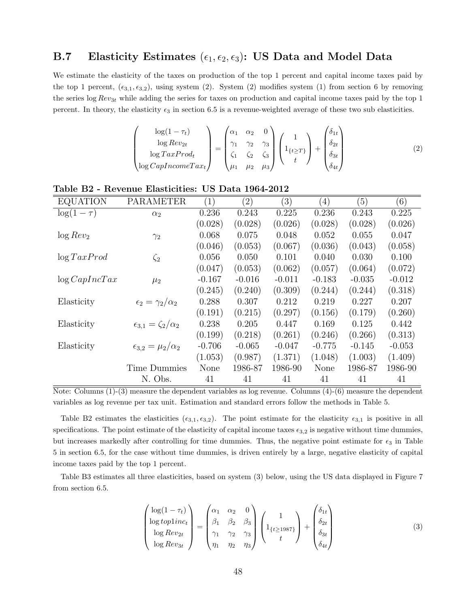# B.7 Elasticity Estimates  $(\epsilon_1, \epsilon_2, \epsilon_3)$ : US Data and Model Data

We estimate the elasticity of the taxes on production of the top 1 percent and capital income taxes paid by the top 1 percent,  $(\epsilon_{3,1}, \epsilon_{3,2})$ , using system (2). System (2) modifies system (1) from section 6 by removing the series log  $Rev_{3t}$  while adding the series for taxes on production and capital income taxes paid by the top 1 percent. In theory, the elasticity  $\epsilon_3$  in section 6.5 is a revenue-weighted average of these two sub elasticities.

$$
\begin{pmatrix}\n\log(1-\tau_t) \\
\log Rev_{2t} \\
\log TaxProd_t \\
\log CapIncomeTax_t\n\end{pmatrix} = \begin{pmatrix}\n\alpha_1 & \alpha_2 & 0 \\
\gamma_1 & \gamma_2 & \gamma_3 \\
\zeta_1 & \zeta_2 & \zeta_3 \\
\mu_1 & \mu_2 & \mu_3\n\end{pmatrix} \begin{pmatrix}\n1 \\
1_{\{t \geq T\}} \\
t\n\end{pmatrix} + \begin{pmatrix}\n\delta_{1t} \\
\delta_{2t} \\
\delta_{3t} \\
\delta_{4t}\n\end{pmatrix}
$$
\n(2)

| <b>EQUATION</b>   | <b>PARAMETER</b>                    | (1)      | $\left( 2\right)$ | $\left(3\right)$ | $\left( 4\right)$ | (5)      | (6)      |
|-------------------|-------------------------------------|----------|-------------------|------------------|-------------------|----------|----------|
| $\log(1-\tau)$    | $\alpha_2$                          | 0.236    | 0.243             | 0.225            | 0.236             | 0.243    | 0.225    |
|                   |                                     | (0.028)  | (0.028)           | (0.026)          | (0.028)           | (0.028)  | (0.026)  |
| $\log Rev_2$      | $\gamma_2$                          | 0.068    | 0.075             | 0.048            | 0.052             | 0.055    | 0.047    |
|                   |                                     | (0.046)  | (0.053)           | (0.067)          | (0.036)           | (0.043)  | (0.058)  |
| $\log TaxProd$    | $\zeta_2$                           | 0.056    | 0.050             | 0.101            | 0.040             | 0.030    | 0.100    |
|                   |                                     | (0.047)  | (0.053)           | (0.062)          | (0.057)           | (0.064)  | (0.072)  |
| $\log CapInc Tax$ | $\mu_2$                             | $-0.167$ | $-0.016$          | $-0.011$         | $-0.183$          | $-0.035$ | $-0.012$ |
|                   |                                     | (0.245)  | (0.240)           | (0.309)          | (0.244)           | (0.244)  | (0.318)  |
| Elasticity        | $\epsilon_2 = \gamma_2/\alpha_2$    | 0.288    | 0.307             | 0.212            | 0.219             | 0.227    | 0.207    |
|                   |                                     | (0.191)  | (0.215)           | (0.297)          | (0.156)           | (0.179)  | (0.260)  |
| Elasticity        | $\epsilon_{3,1} = \zeta_2/\alpha_2$ | 0.238    | 0.205             | 0.447            | 0.169             | 0.125    | 0.442    |
|                   |                                     | (0.199)  | (0.218)           | (0.261)          | (0.246)           | (0.266)  | (0.313)  |
| Elasticity        | $\epsilon_{3,2} = \mu_2/\alpha_2$   | $-0.706$ | $-0.065$          | $-0.047$         | $-0.775$          | $-0.145$ | $-0.053$ |
|                   |                                     | (1.053)  | (0.987)           | (1.371)          | (1.048)           | (1.003)  | (1.409)  |
|                   | <b>Time Dummies</b>                 | None     | 1986-87           | 1986-90          | None              | 1986-87  | 1986-90  |
|                   | N. Obs.                             | 41       | 41                | 41               | 41                | 41       | 41       |

Table B2 - Revenue Elasticities: US Data 1964-2012

Note: Columns  $(1)-(3)$  measure the dependent variables as log revenue. Columns  $(4)-(6)$  measure the dependent variables as log revenue per tax unit. Estimation and standard errors follow the methods in Table 5.

Table B2 estimates the elasticities  $(\epsilon_{3,1}, \epsilon_{3,2})$ . The point estimate for the elasticity  $\epsilon_{3,1}$  is positive in all specifications. The point estimate of the elasticity of capital income taxes  $\epsilon_{3,2}$  is negative without time dummies, but increases markedly after controlling for time dummies. Thus, the negative point estimate for  $\epsilon_3$  in Table 5 in section 6.5, for the case without time dummies, is driven entirely by a large, negative elasticity of capital income taxes paid by the top 1 percent.

Table B3 estimates all three elasticities, based on system (3) below, using the US data displayed in Figure 7 from section 6.5.

$$
\begin{pmatrix}\n\log(1-\tau_t) \\
\log top1inc_t \\
\log Rev_{2t} \\
\log Rev_{3t}\n\end{pmatrix} = \begin{pmatrix}\n\alpha_1 & \alpha_2 & 0 \\
\beta_1 & \beta_2 & \beta_3 \\
\gamma_1 & \gamma_2 & \gamma_3 \\
\eta_1 & \eta_2 & \eta_3\n\end{pmatrix} \begin{pmatrix}\n1 \\
1_{\{t \ge 1987\}} \\
t\n\end{pmatrix} + \begin{pmatrix}\n\delta_{1t} \\
\delta_{2t} \\
\delta_{3t} \\
\delta_{4t}\n\end{pmatrix}
$$
\n(3)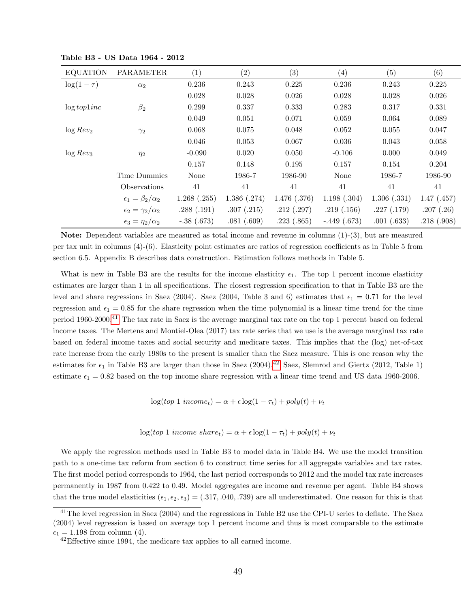| <b>EQUATION</b> | <b>PARAMETER</b>                 | (1)          | (2)         | (3)         | (4)           | (5)         | (6)         |
|-----------------|----------------------------------|--------------|-------------|-------------|---------------|-------------|-------------|
| $\log(1-\tau)$  | $\alpha_2$                       | 0.236        | 0.243       | 0.225       | 0.236         | 0.243       | 0.225       |
|                 |                                  | 0.028        | 0.028       | 0.026       | 0.028         | 0.028       | 0.026       |
| $\log topline$  | $\beta_2$                        | 0.299        | 0.337       | 0.333       | 0.283         | 0.317       | 0.331       |
|                 |                                  | 0.049        | 0.051       | 0.071       | 0.059         | 0.064       | 0.089       |
| $\log Rev_2$    | $\gamma_2$                       | 0.068        | 0.075       | 0.048       | 0.052         | 0.055       | 0.047       |
|                 |                                  | 0.046        | 0.053       | 0.067       | 0.036         | 0.043       | 0.058       |
| $\log Rev_3$    | $\eta_2$                         | $-0.090$     | 0.020       | 0.050       | $-0.106$      | 0.000       | 0.049       |
|                 |                                  | 0.157        | 0.148       | 0.195       | 0.157         | 0.154       | 0.204       |
|                 | Time Dummies                     | None         | 1986-7      | 1986-90     | None          | 1986-7      | 1986-90     |
|                 | Observations                     | 41           | 41          | 41          | 41            | 41          | 41          |
|                 | $\epsilon_1 = \beta_2/\alpha_2$  | 1.268(.255)  | 1.386(.274) | 1.476(.376) | 1.198(.304)   | 1.306(.331) | 1.47(0.457) |
|                 | $\epsilon_2 = \gamma_2/\alpha_2$ | .288(.191)   | .307(.215)  | .212(.297)  | .219(.156)    | .227(.179)  | .207(.26)   |
|                 | $\epsilon_3 = \eta_2/\alpha_2$   | $-.38(.673)$ | .081(.609)  | .223(.865)  | $-.449(.673)$ | .001(.633)  | .218(.908)  |

Table B3 - US Data 1964 - 2012

Note: Dependent variables are measured as total income and revenue in columns (1)-(3), but are measured per tax unit in columns (4)-(6). Elasticity point estimates are ratios of regression coefficients as in Table 5 from section 6.5. Appendix B describes data construction. Estimation follows methods in Table 5.

What is new in Table B3 are the results for the income elasticity  $\epsilon_1$ . The top 1 percent income elasticity estimates are larger than 1 in all specifications. The closest regression specification to that in Table B3 are the level and share regressions in Saez (2004). Saez (2004, Table 3 and 6) estimates that  $\epsilon_1 = 0.71$  for the level regression and  $\epsilon_1 = 0.85$  for the share regression when the time polynomial is a linear time trend for the time period 1960-2000.[41](#page-0-0) The tax rate in Saez is the average marginal tax rate on the top 1 percent based on federal income taxes. The Mertens and Montiel-Olea (2017) tax rate series that we use is the average marginal tax rate based on federal income taxes and social security and medicare taxes. This implies that the (log) net-of-tax rate increase from the early 1980s to the present is smaller than the Saez measure. This is one reason why the estimates for  $\epsilon_1$  in Table B3 are larger than those in Saez (2004).<sup>[42](#page-0-0)</sup> Saez, Slemrod and Giertz (2012, Table 1) estimate  $\epsilon_1 = 0.82$  based on the top income share regression with a linear time trend and US data 1960-2006.

 $\log(top 1\ income_t) = \alpha + \epsilon \log(1-\tau_t) + poly(t) + \nu_t$ 

 $\log(t \circ p \cdot 1 \text{ income share}_t) = \alpha + \epsilon \log(1 - \tau_t) + \text{poly}(t) + \nu_t$ 

We apply the regression methods used in Table B3 to model data in Table B4. We use the model transition path to a one-time tax reform from section 6 to construct time series for all aggregate variables and tax rates. The first model period corresponds to 1964, the last period corresponds to 2012 and the model tax rate increases permanently in 1987 from 0.422 to 0.49. Model aggregates are income and revenue per agent. Table B4 shows that the true model elasticities  $(\epsilon_1, \epsilon_2, \epsilon_3) = (.317, .040, .739)$  are all underestimated. One reason for this is that

<sup>&</sup>lt;sup>41</sup>The level regression in Saez (2004) and the regressions in Table B2 use the CPI-U series to deflate. The Saez (2004) level regression is based on average top 1 percent income and thus is most comparable to the estimate  $\epsilon_1 = 1.198$  from column (4).

<sup>&</sup>lt;sup>42</sup>Effective since 1994, the medicare tax applies to all earned income.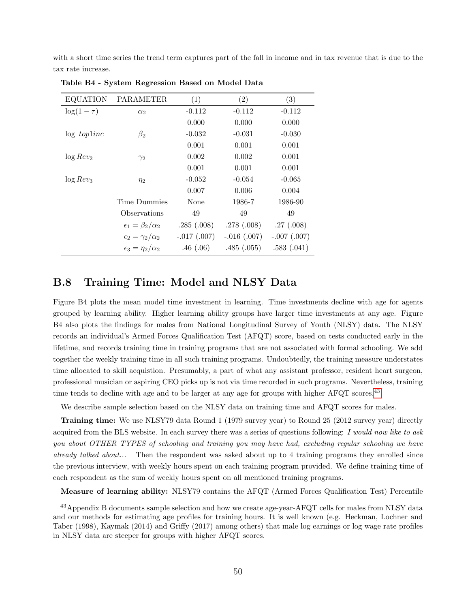with a short time series the trend term captures part of the fall in income and in tax revenue that is due to the tax rate increase.

| <b>EQUATION</b> | <b>PARAMETER</b>                 | (1)           | (2)           | (3)           |
|-----------------|----------------------------------|---------------|---------------|---------------|
| $\log(1-\tau)$  | $\alpha_2$                       | $-0.112$      | $-0.112$      | $-0.112$      |
|                 |                                  | 0.000         | 0.000         | 0.000         |
| $\log$ topline  | $\beta_2$                        | $-0.032$      | $-0.031$      | $-0.030$      |
|                 |                                  | 0.001         | 0.001         | 0.001         |
| $\log Rev_2$    | $\gamma_2$                       | 0.002         | 0.002         | 0.001         |
|                 |                                  | 0.001         | 0.001         | 0.001         |
| $\log Rev_3$    | $\eta_2$                         | $-0.052$      | $-0.054$      | $-0.065$      |
|                 |                                  | 0.007         | 0.006         | 0.004         |
|                 | Time Dummies                     | None          | 1986-7        | 1986-90       |
|                 | Observations                     | 49            | 49            | 49            |
|                 | $\epsilon_1 = \beta_2/\alpha_2$  | .285(.008)    | .278(.008)    | .27(.008)     |
|                 | $\epsilon_2 = \gamma_2/\alpha_2$ | $-.017(.007)$ | $-.016(.007)$ | $-.007(.007)$ |
|                 | $\epsilon_3 = \eta_2/\alpha_2$   | .46(.06)      | .485(.055)    | .583(.041)    |

Table B4 - System Regression Based on Model Data

# B.8 Training Time: Model and NLSY Data

Figure B4 plots the mean model time investment in learning. Time investments decline with age for agents grouped by learning ability. Higher learning ability groups have larger time investments at any age. Figure B4 also plots the findings for males from National Longitudinal Survey of Youth (NLSY) data. The NLSY records an individual's Armed Forces Qualification Test (AFQT) score, based on tests conducted early in the lifetime, and records training time in training programs that are not associated with formal schooling. We add together the weekly training time in all such training programs. Undoubtedly, the training measure understates time allocated to skill acquistion. Presumably, a part of what any assistant professor, resident heart surgeon, professional musician or aspiring CEO picks up is not via time recorded in such programs. Nevertheless, training time tends to decline with age and to be larger at any age for groups with higher  $AFQT$  scores.<sup>[43](#page-0-0)</sup>

We describe sample selection based on the NLSY data on training time and AFQT scores for males.

Training time: We use NLSY79 data Round 1 (1979 survey year) to Round 25 (2012 survey year) directly acquired from the BLS website. In each survey there was a series of questions following: I would now like to ask you about OTHER TYPES of schooling and training you may have had, excluding regular schooling we have already talked about... Then the respondent was asked about up to 4 training programs they enrolled since the previous interview, with weekly hours spent on each training program provided. We define training time of each respondent as the sum of weekly hours spent on all mentioned training programs.

Measure of learning ability: NLSY79 contains the AFQT (Armed Forces Qualification Test) Percentile

<sup>&</sup>lt;sup>43</sup>Appendix B documents sample selection and how we create age-year-AFQT cells for males from NLSY data and our methods for estimating age profiles for training hours. It is well known (e.g. Heckman, Lochner and Taber (1998), Kaymak (2014) and Griffy (2017) among others) that male log earnings or log wage rate profiles in NLSY data are steeper for groups with higher AFQT scores.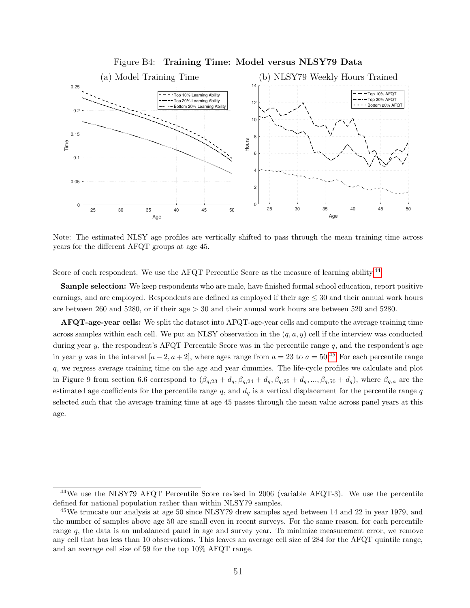

#### Figure B4: Training Time: Model versus NLSY79 Data

Note: The estimated NLSY age profiles are vertically shifted to pass through the mean training time across years for the different AFQT groups at age 45.

Score of each respondent. We use the AFQT Percentile Score as the measure of learning ability.<sup>[44](#page-0-0)</sup>

Sample selection: We keep respondents who are male, have finished formal school education, report positive earnings, and are employed. Respondents are defined as employed if their age ≤ 30 and their annual work hours are between 260 and 5280, or if their age  $> 30$  and their annual work hours are between 520 and 5280.

AFQT-age-year cells: We split the dataset into AFQT-age-year cells and compute the average training time across samples within each cell. We put an NLSY observation in the  $(q, a, y)$  cell if the interview was conducted during year y, the respondent's AFQT Percentile Score was in the percentile range  $q$ , and the respondent's age in year y was in the interval  $[a-2, a+2]$ , where ages range from  $a = 23$  to  $a = 50^{0.45}$  $a = 50^{0.45}$  $a = 50^{0.45}$  For each percentile range q, we regress average training time on the age and year dummies. The life-cycle profiles we calculate and plot in Figure 9 from section 6.6 correspond to  $(\beta_{q,23} + d_q, \beta_{q,24} + d_q, \beta_{q,25} + d_q, ..., \beta_{q,50} + d_q)$ , where  $\beta_{q,a}$  are the estimated age coefficients for the percentile range q, and  $d_q$  is a vertical displacement for the percentile range q selected such that the average training time at age 45 passes through the mean value across panel years at this age.

<sup>44</sup>We use the NLSY79 AFQT Percentile Score revised in 2006 (variable AFQT-3). We use the percentile defined for national population rather than within NLSY79 samples.

<sup>&</sup>lt;sup>45</sup>We truncate our analysis at age 50 since NLSY79 drew samples aged between 14 and 22 in year 1979, and the number of samples above age 50 are small even in recent surveys. For the same reason, for each percentile range q, the data is an unbalanced panel in age and survey year. To minimize measurement error, we remove any cell that has less than 10 observations. This leaves an average cell size of 284 for the AFQT quintile range, and an average cell size of 59 for the top 10% AFQT range.